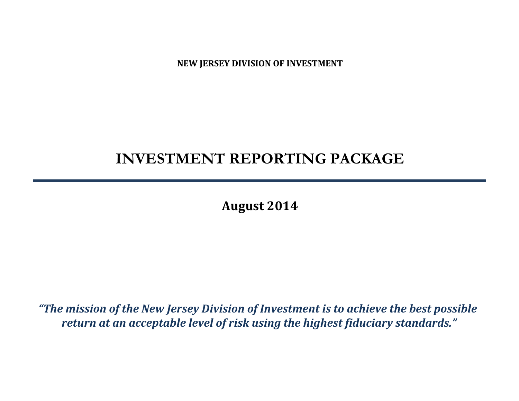**NEW JERSEY DIVISION OF INVESTMENT**

# **INVESTMENT REPORTING PACKAGE**

**August 2014**

*"The mission of the New Jersey Division of Investment is to achieve the best possible return at an acceptable level of risk using the highest fiduciary standards."*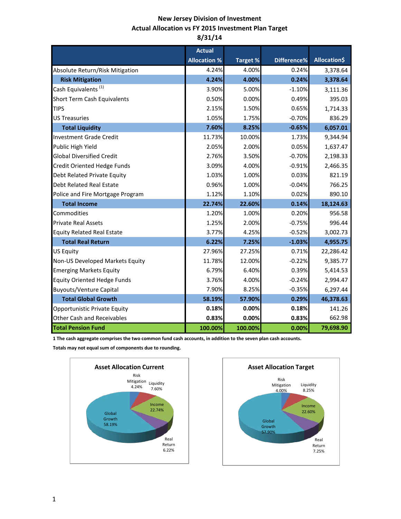# **New Jersey Division of Investment Actual Allocation vs FY 2015 Investment Plan Target 8/31/14**

|                                    | <b>Actual</b>       |          |             |              |
|------------------------------------|---------------------|----------|-------------|--------------|
|                                    | <b>Allocation %</b> | Target % | Difference% | Allocation\$ |
| Absolute Return/Risk Mitigation    | 4.24%               | 4.00%    | 0.24%       | 3,378.64     |
| <b>Risk Mitigation</b>             | 4.24%               | 4.00%    | 0.24%       | 3,378.64     |
| Cash Equivalents <sup>(1)</sup>    | 3.90%               | 5.00%    | $-1.10%$    | 3,111.36     |
| Short Term Cash Equivalents        | 0.50%               | 0.00%    | 0.49%       | 395.03       |
| <b>TIPS</b>                        | 2.15%               | 1.50%    | 0.65%       | 1,714.33     |
| <b>US Treasuries</b>               | 1.05%               | 1.75%    | $-0.70%$    | 836.29       |
| <b>Total Liquidity</b>             | 7.60%               | 8.25%    | $-0.65%$    | 6,057.01     |
| <b>Investment Grade Credit</b>     | 11.73%              | 10.00%   | 1.73%       | 9,344.94     |
| Public High Yield                  | 2.05%               | 2.00%    | 0.05%       | 1,637.47     |
| <b>Global Diversified Credit</b>   | 2.76%               | 3.50%    | $-0.70%$    | 2,198.33     |
| Credit Oriented Hedge Funds        | 3.09%               | 4.00%    | $-0.91%$    | 2,466.35     |
| Debt Related Private Equity        | 1.03%               | 1.00%    | 0.03%       | 821.19       |
| <b>Debt Related Real Estate</b>    | 0.96%               | 1.00%    | $-0.04%$    | 766.25       |
| Police and Fire Mortgage Program   | 1.12%               | 1.10%    | 0.02%       | 890.10       |
| <b>Total Income</b>                | 22.74%              | 22.60%   | 0.14%       | 18,124.63    |
| Commodities                        | 1.20%               | 1.00%    | 0.20%       | 956.58       |
| <b>Private Real Assets</b>         | 1.25%               | 2.00%    | $-0.75%$    | 996.44       |
| <b>Equity Related Real Estate</b>  | 3.77%               | 4.25%    | $-0.52%$    | 3,002.73     |
| <b>Total Real Return</b>           | 6.22%               | 7.25%    | $-1.03%$    | 4,955.75     |
| <b>US Equity</b>                   | 27.96%              | 27.25%   | 0.71%       | 22,286.42    |
| Non-US Developed Markets Equity    | 11.78%              | 12.00%   | $-0.22%$    | 9,385.77     |
| <b>Emerging Markets Equity</b>     | 6.79%               | 6.40%    | 0.39%       | 5,414.53     |
| <b>Equity Oriented Hedge Funds</b> | 3.76%               | 4.00%    | $-0.24%$    | 2,994.47     |
| <b>Buyouts/Venture Capital</b>     | 7.90%               | 8.25%    | $-0.35%$    | 6,297.44     |
| <b>Total Global Growth</b>         | 58.19%              | 57.90%   | 0.29%       | 46,378.63    |
| Opportunistic Private Equity       | 0.18%               | 0.00%    | 0.18%       | 141.26       |
| <b>Other Cash and Receivables</b>  | 0.83%               | 0.00%    | 0.83%       | 662.98       |
| <b>Total Pension Fund</b>          | 100.00%             | 100.00%  | 0.00%       | 79,698.90    |

**1 The cash aggregate comprises the two common fund cash accounts, in addition to the seven plan cash accounts.** 

**Totals may not equal sum of components due to rounding.**



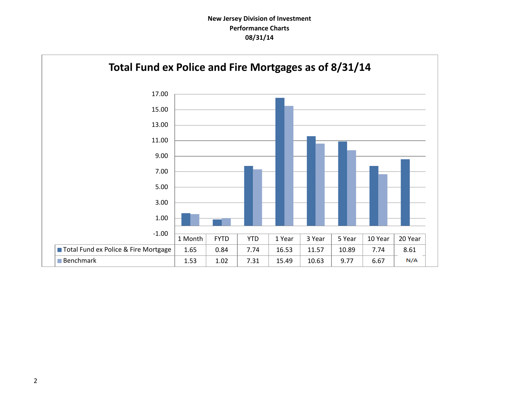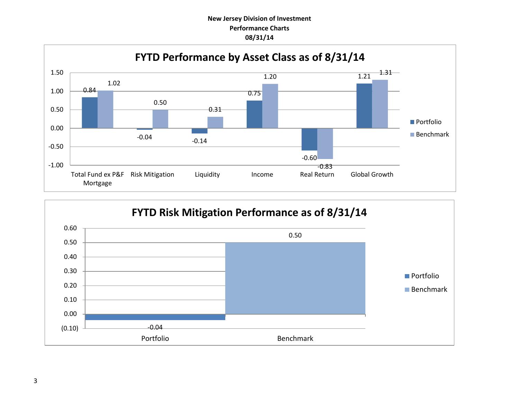# **New Jersey Division of Investment Performance Charts 08/31/14**



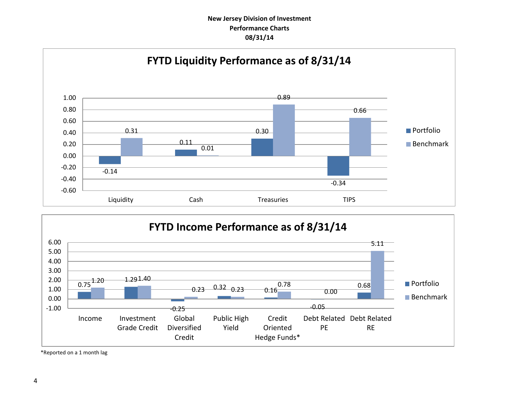# **New Jersey Division of Investment Performance Charts 08/31/14**





\*Reported on a 1 month lag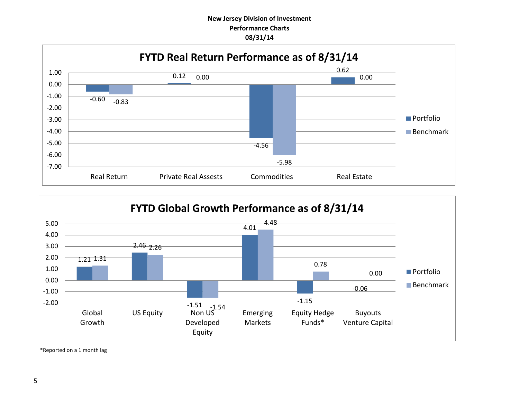# **New Jersey Division of Investment Performance Charts 08/31/14**





\*Reported on a 1 month lag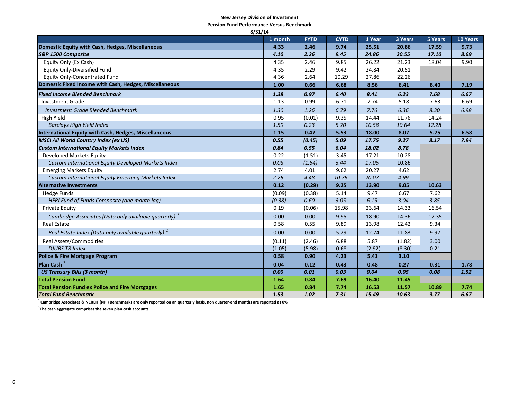#### **New Jersey Division of Investment**

**Pension Fund Performance Versus Benchmark**

| 8/31/14                                                           |         |             |             |        |         |         |          |
|-------------------------------------------------------------------|---------|-------------|-------------|--------|---------|---------|----------|
|                                                                   | 1 month | <b>FYTD</b> | <b>CYTD</b> | 1 Year | 3 Years | 5 Years | 10 Years |
| Domestic Equity with Cash, Hedges, Miscellaneous                  | 4.33    | 2.46        | 9.74        | 25.51  | 20.86   | 17.59   | 9.73     |
| S&P 1500 Composite                                                | 4.10    | 2.26        | 9.45        | 24.86  | 20.55   | 17.10   | 8.69     |
| Equity Only (Ex Cash)                                             | 4.35    | 2.46        | 9.85        | 26.22  | 21.23   | 18.04   | 9.90     |
| <b>Equity Only-Diversified Fund</b>                               | 4.35    | 2.29        | 9.42        | 24.84  | 20.51   |         |          |
| <b>Equity Only-Concentrated Fund</b>                              | 4.36    | 2.64        | 10.29       | 27.86  | 22.26   |         |          |
| Domestic Fixed Income with Cash, Hedges, Miscellaneous            | 1.00    | 0.66        | 6.68        | 8.56   | 6.41    | 8.40    | 7.19     |
| <b>Fixed Income Blended Benchmark</b>                             | 1.38    | 0.97        | 6.40        | 8.41   | 6.23    | 7.68    | 6.67     |
| <b>Investment Grade</b>                                           | 1.13    | 0.99        | 6.71        | 7.74   | 5.18    | 7.63    | 6.69     |
| <b>Investment Grade Blended Benchmark</b>                         | 1.30    | 1.26        | 6.79        | 7.76   | 6.36    | 8.30    | 6.98     |
| High Yield                                                        | 0.95    | (0.01)      | 9.35        | 14.44  | 11.76   | 14.24   |          |
| <b>Barclays High Yield Index</b>                                  | 1.59    | 0.23        | 5.70        | 10.58  | 10.64   | 12.28   |          |
| International Equity with Cash, Hedges, Miscellaneous             | 1.15    | 0.47        | 5.53        | 18.00  | 8.07    | 5.75    | 6.58     |
| <b>MSCI All World Country Index (ex US)</b>                       | 0.55    | (0.45)      | 5.09        | 17.75  | 9.27    | 8.17    | 7.94     |
| <b>Custom International Equity Markets Index</b>                  | 0.84    | 0.55        | 6.04        | 18.02  | 8.78    |         |          |
| Developed Markets Equity                                          | 0.22    | (1.51)      | 3.45        | 17.21  | 10.28   |         |          |
| Custom International Equity Developed Markets Index               | 0.08    | (1.54)      | 3.44        | 17.05  | 10.86   |         |          |
| <b>Emerging Markets Equity</b>                                    | 2.74    | 4.01        | 9.62        | 20.27  | 4.62    |         |          |
| <b>Custom International Equity Emerging Markets Index</b>         | 2.26    | 4.48        | 10.76       | 20.07  | 4.99    |         |          |
| <b>Alternative Investments</b>                                    | 0.12    | (0.29)      | 9.25        | 13.90  | 9.05    | 10.63   |          |
| <b>Hedge Funds</b>                                                | (0.09)  | (0.38)      | 5.14        | 9.47   | 6.67    | 7.62    |          |
| HFRI Fund of Funds Composite (one month lag)                      | (0.38)  | 0.60        | 3.05        | 6.15   | 3.04    | 3.85    |          |
| <b>Private Equity</b>                                             | 0.19    | (0.06)      | 15.98       | 23.64  | 14.33   | 16.54   |          |
| Cambridge Associates (Data only available quarterly) <sup>1</sup> | 0.00    | 0.00        | 9.95        | 18.90  | 14.36   | 17.35   |          |
| <b>Real Estate</b>                                                | 0.58    | 0.55        | 9.89        | 13.98  | 12.42   | 9.34    |          |
| Real Estate Index (Data only available quarterly) $1$             | 0.00    | 0.00        | 5.29        | 12.74  | 11.83   | 9.97    |          |
| Real Assets/Commodities                                           | (0.11)  | (2.46)      | 6.88        | 5.87   | (1.82)  | 3.00    |          |
| <b>DJUBS TR Index</b>                                             | (1.05)  | (5.98)      | 0.68        | (2.92) | (8.30)  | 0.21    |          |
| <b>Police &amp; Fire Mortgage Program</b>                         | 0.58    | 0.90        | 4.23        | 5.41   | 3.10    |         |          |
| Plan Cash <sup>2</sup>                                            | 0.04    | 0.12        | 0.43        | 0.48   | 0.27    | 0.31    | 1.78     |
| <b>US Treasury Bills (3 month)</b>                                | 0.00    | 0.01        | 0.03        | 0.04   | 0.05    | 0.08    | 1.52     |
| <b>Total Pension Fund</b>                                         | 1.64    | 0.84        | 7.69        | 16.40  | 11.45   |         |          |
| <b>Total Pension Fund ex Police and Fire Mortgages</b>            | 1.65    | 0.84        | 7.74        | 16.53  | 11.57   | 10.89   | 7.74     |
| <b>Total Fund Benchmark</b>                                       | 1.53    | 1.02        | 7.31        | 15.49  | 10.63   | 9.77    | 6.67     |

**1 Cambridge Associates & NCREIF (NPI) Benchmarks are only reported on an quarterly basis, non quarter-end months are reported as 0%**

**2 The cash aggregate comprises the seven plan cash accounts**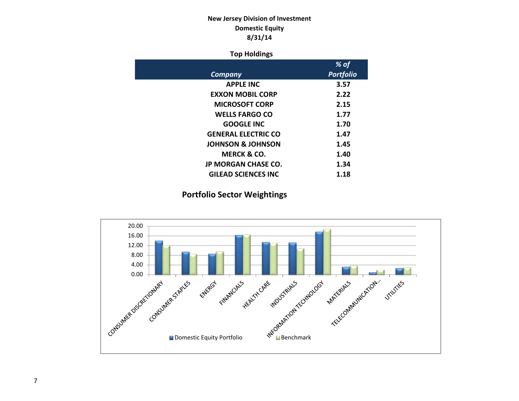# **New Jersey Division of Investment Domestic Equity 8/31/14**

#### **Top Holdings**

|                              | % of             |
|------------------------------|------------------|
| Company                      | <b>Portfolio</b> |
| <b>APPLE INC</b>             | 3.57             |
| <b>EXXON MOBIL CORP</b>      | 2.22             |
| <b>MICROSOFT CORP</b>        | 2.15             |
| <b>WELLS FARGO CO</b>        | 1.77             |
| <b>GOOGLE INC</b>            | 1.70             |
| <b>GENERAL ELECTRIC CO</b>   | 1.47             |
| <b>JOHNSON &amp; JOHNSON</b> | 1.45             |
| MERCK & CO.                  | 1.40             |
| <b>JP MORGAN CHASE CO.</b>   | 1.34             |
| <b>GILEAD SCIENCES INC</b>   | 1.18             |

**Portfolio Sector Weightings**

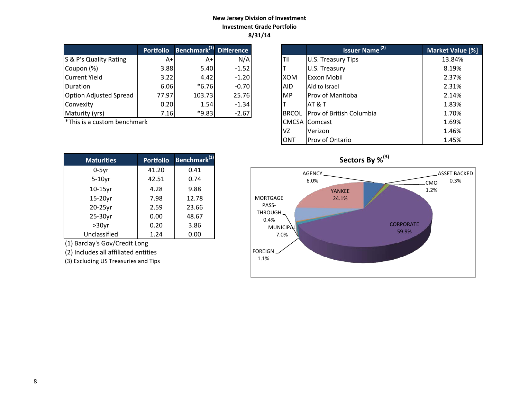#### **New Jersey Division of Investment Investment Grade Portfolio 8/31/14**

|                               | <b>Portfolio</b> | <b>Benchmark</b> <sup>(1)</sup> Difference |         |              | Issuer Name <sup>(2)</sup>      | <b>Market Valu</b> |
|-------------------------------|------------------|--------------------------------------------|---------|--------------|---------------------------------|--------------------|
| S & P's Quality Rating        | A+l              | A+                                         | N/A     | TII          | U.S. Treasury Tips              | 13.84%             |
| Coupon (%)                    | 3.88             | 5.40                                       | $-1.52$ |              | U.S. Treasury                   | 8.19%              |
| Current Yield                 | 3.22             | 4.42                                       | $-1.20$ | <b>IXOM</b>  | <b>Exxon Mobil</b>              | 2.37%              |
| <b>IDuration</b>              | 6.06             | $*6.76$                                    | $-0.70$ | <b>AID</b>   | Aid to Israel                   | 2.31%              |
| <b>Option Adjusted Spread</b> | 77.97            | 103.73                                     | 25.76   | <b>MP</b>    | Prov of Manitoba                | 2.14%              |
| Convexity                     | 0.20             | 1.54                                       | $-1.34$ |              | IAT & T                         | 1.83%              |
| Maturity (yrs)                | 7.16             | $*9.83$                                    | $-2.67$ | <b>BRCOL</b> | <b>Prov of British Columbia</b> | 1.70%              |

 $*$ This is a custom benchmark

| <b>Maturities</b> | <b>Portfolio</b> | Benchmark <sup>(1)</sup> |
|-------------------|------------------|--------------------------|
| $0-5$ yr          | 41.20            | 0.41                     |
| $5-10$ yr         | 42.51            | 0.74                     |
| 10-15yr           | 4.28             | 9.88                     |
| 15-20yr           | 7.98             | 12.78                    |
| 20-25yr           | 2.59             | 23.66                    |
| 25-30yr           | 0.00             | 48.67                    |
| $>30$ yr          | 0.20             | 3.86                     |
| Unclassified      | 1.24             | 0.00                     |

(1) Barclay's Gov/Credit Long

(2) Includes all affiliated entities

(3) Excluding US Treasuries and Tips

| <b>Portfolio</b> | Benchmark <sup>(1)</sup> Difference |         |              | <b>Issuer Name<sup>(2)</sup></b> | Market Value [%] |
|------------------|-------------------------------------|---------|--------------|----------------------------------|------------------|
| $A+$             | $A+$                                | N/A     | TII          | U.S. Treasury Tips               | 13.84%           |
| 3.88             | 5.40                                | $-1.52$ |              | U.S. Treasury                    | 8.19%            |
| 3.22             | 4.42                                | $-1.20$ | XOM          | Exxon Mobil                      | 2.37%            |
| 6.06             | $*6.76$                             | $-0.70$ | <b>AID</b>   | Aid to Israel                    | 2.31%            |
| 77.97            | 103.73                              | 25.76   | MP.          | <b>Prov of Manitoba</b>          | 2.14%            |
| 0.20             | 1.54                                | $-1.34$ |              | <b>AT &amp; T</b>                | 1.83%            |
| 7.16             | $*9.83$                             | $-2.67$ | <b>BRCOL</b> | Prov of British Columbia         | 1.70%            |
| ۰k               |                                     |         |              | <b>CMCSA Comcast</b>             | 1.69%            |
|                  |                                     |         | VZ.          | Verizon                          | 1.46%            |
|                  |                                     |         | <b>ONT</b>   | Prov of Ontario                  | 1.45%            |

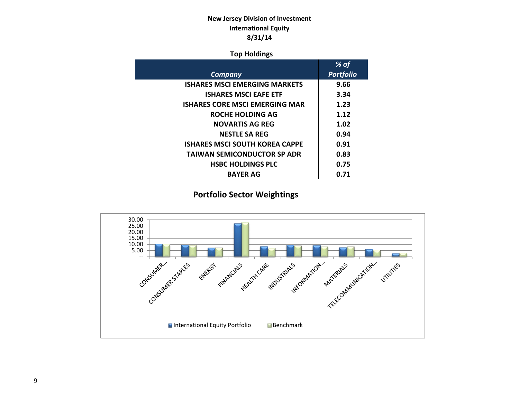# **New Jersey Division of Investment International Equity 8/31/14**

### **Top Holdings**

|                                       | % of             |
|---------------------------------------|------------------|
| Company                               | <b>Portfolio</b> |
| <b>ISHARES MSCI EMERGING MARKETS</b>  | 9.66             |
| <b>ISHARES MSCI EAFE ETF</b>          | 3.34             |
| <b>ISHARES CORE MSCI EMERGING MAR</b> | 1.23             |
| ROCHE HOLDING AG                      | 1.12             |
| <b>NOVARTIS AG REG</b>                | 1.02             |
| <b>NESTLE SA REG</b>                  | 0.94             |
| <b>ISHARES MSCI SOUTH KOREA CAPPE</b> | 0.91             |
| <b>TAIWAN SEMICONDUCTOR SP ADR</b>    | 0.83             |
| <b>HSBC HOLDINGS PLC</b>              | 0.75             |
| <b>BAYER AG</b>                       | 0.71             |
|                                       |                  |

# **Portfolio Sector Weightings**

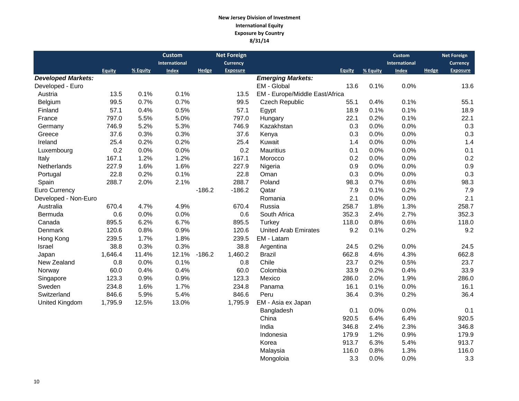#### **New Jersey Division of Investment International Equity Exposure by Country 8/31/14**

|                           |               |          | <b>Custom</b><br>International |          | <b>Net Foreign</b><br>Currency |                                |               |          | <b>Custom</b><br><b>International</b> |       | <b>Net Foreign</b><br><b>Currency</b> |
|---------------------------|---------------|----------|--------------------------------|----------|--------------------------------|--------------------------------|---------------|----------|---------------------------------------|-------|---------------------------------------|
|                           | <b>Equity</b> | % Equity | <b>Index</b>                   | Hedge    | <b>Exposure</b>                |                                | <b>Equity</b> | % Equity | <b>Index</b>                          | Hedge | <b>Exposure</b>                       |
| <b>Developed Markets:</b> |               |          |                                |          |                                | <b>Emerging Markets:</b>       |               |          |                                       |       |                                       |
| Developed - Euro          |               |          |                                |          |                                | EM - Global                    | 13.6          | 0.1%     | 0.0%                                  |       | 13.6                                  |
| Austria                   | 13.5          | 0.1%     | 0.1%                           |          | 13.5                           | EM - Europe/Middle East/Africa |               |          |                                       |       |                                       |
| Belgium                   | 99.5          | 0.7%     | 0.7%                           |          | 99.5                           | Czech Republic                 | 55.1          | 0.4%     | 0.1%                                  |       | 55.1                                  |
| Finland                   | 57.1          | 0.4%     | 0.5%                           |          | 57.1                           | Egypt                          | 18.9          | 0.1%     | 0.1%                                  |       | 18.9                                  |
| France                    | 797.0         | 5.5%     | 5.0%                           |          | 797.0                          | Hungary                        | 22.1          | 0.2%     | 0.1%                                  |       | 22.1                                  |
| Germany                   | 746.9         | 5.2%     | 5.3%                           |          | 746.9                          | Kazakhstan                     | 0.3           | 0.0%     | 0.0%                                  |       | 0.3                                   |
| Greece                    | 37.6          | 0.3%     | 0.3%                           |          | 37.6                           | Kenya                          | 0.3           | 0.0%     | 0.0%                                  |       | 0.3                                   |
| Ireland                   | 25.4          | 0.2%     | 0.2%                           |          | 25.4                           | Kuwait                         | 1.4           | 0.0%     | 0.0%                                  |       | 1.4                                   |
| Luxembourg                | 0.2           | 0.0%     | 0.0%                           |          | 0.2                            | <b>Mauritius</b>               | 0.1           | 0.0%     | 0.0%                                  |       | 0.1                                   |
| Italy                     | 167.1         | 1.2%     | 1.2%                           |          | 167.1                          | Morocco                        | 0.2           | 0.0%     | 0.0%                                  |       | 0.2                                   |
| Netherlands               | 227.9         | 1.6%     | 1.6%                           |          | 227.9                          | Nigeria                        | 0.9           | 0.0%     | 0.0%                                  |       | 0.9                                   |
| Portugal                  | 22.8          | 0.2%     | 0.1%                           |          | 22.8                           | Oman                           | 0.3           | 0.0%     | 0.0%                                  |       | 0.3                                   |
| Spain                     | 288.7         | 2.0%     | 2.1%                           |          | 288.7                          | Poland                         | 98.3          | 0.7%     | 0.6%                                  |       | 98.3                                  |
| Euro Currency             |               |          |                                | $-186.2$ | $-186.2$                       | Qatar                          | 7.9           | 0.1%     | 0.2%                                  |       | 7.9                                   |
| Developed - Non-Euro      |               |          |                                |          |                                | Romania                        | 2.1           | 0.0%     | 0.0%                                  |       | 2.1                                   |
| Australia                 | 670.4         | 4.7%     | 4.9%                           |          | 670.4                          | Russia                         | 258.7         | 1.8%     | 1.3%                                  |       | 258.7                                 |
| Bermuda                   | 0.6           | 0.0%     | 0.0%                           |          | 0.6                            | South Africa                   | 352.3         | 2.4%     | 2.7%                                  |       | 352.3                                 |
| Canada                    | 895.5         | 6.2%     | 6.7%                           |          | 895.5                          | Turkey                         | 118.0         | 0.8%     | 0.6%                                  |       | 118.0                                 |
| Denmark                   | 120.6         | 0.8%     | 0.9%                           |          | 120.6                          | <b>United Arab Emirates</b>    | 9.2           | 0.1%     | 0.2%                                  |       | 9.2                                   |
| Hong Kong                 | 239.5         | 1.7%     | 1.8%                           |          | 239.5                          | EM - Latam                     |               |          |                                       |       |                                       |
| Israel                    | 38.8          | 0.3%     | 0.3%                           |          | 38.8                           | Argentina                      | 24.5          | 0.2%     | 0.0%                                  |       | 24.5                                  |
| Japan                     | 1,646.4       | 11.4%    | 12.1%                          | $-186.2$ | 1,460.2                        | <b>Brazil</b>                  | 662.8         | 4.6%     | 4.3%                                  |       | 662.8                                 |
| New Zealand               | 0.8           | 0.0%     | 0.1%                           |          | 0.8                            | Chile                          | 23.7          | 0.2%     | 0.5%                                  |       | 23.7                                  |
| Norway                    | 60.0          | 0.4%     | 0.4%                           |          | 60.0                           | Colombia                       | 33.9          | 0.2%     | 0.4%                                  |       | 33.9                                  |
| Singapore                 | 123.3         | 0.9%     | 0.9%                           |          | 123.3                          | Mexico                         | 286.0         | 2.0%     | 1.9%                                  |       | 286.0                                 |
| Sweden                    | 234.8         | 1.6%     | 1.7%                           |          | 234.8                          | Panama                         | 16.1          | 0.1%     | 0.0%                                  |       | 16.1                                  |
| Switzerland               | 846.6         | 5.9%     | 5.4%                           |          | 846.6                          | Peru                           | 36.4          | 0.3%     | 0.2%                                  |       | 36.4                                  |
| United Kingdom            | 1,795.9       | 12.5%    | 13.0%                          |          | 1,795.9                        | EM - Asia ex Japan             |               |          |                                       |       |                                       |
|                           |               |          |                                |          |                                | Bangladesh                     | 0.1           | 0.0%     | 0.0%                                  |       | 0.1                                   |
|                           |               |          |                                |          |                                | China                          | 920.5         | 6.4%     | 6.4%                                  |       | 920.5                                 |
|                           |               |          |                                |          |                                | India                          | 346.8         | 2.4%     | 2.3%                                  |       | 346.8                                 |
|                           |               |          |                                |          |                                | Indonesia                      | 179.9         | 1.2%     | 0.9%                                  |       | 179.9                                 |
|                           |               |          |                                |          |                                | Korea                          | 913.7         | 6.3%     | 5.4%                                  |       | 913.7                                 |
|                           |               |          |                                |          |                                | Malaysia                       | 116.0         | 0.8%     | 1.3%                                  |       | 116.0                                 |
|                           |               |          |                                |          |                                | Mongoloia                      | 3.3           | 0.0%     | 0.0%                                  |       | 3.3                                   |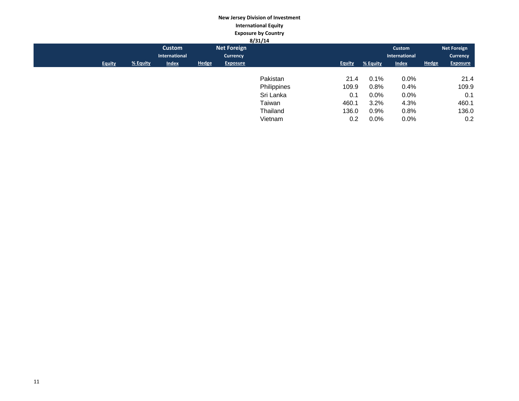#### **New Jersey Division of Investment International Equity Exposure by Country**

|               |          |               |              |                 | 8/31/14     |               |          |               |              |                    |
|---------------|----------|---------------|--------------|-----------------|-------------|---------------|----------|---------------|--------------|--------------------|
|               |          | Custom        |              | Net Foreign     |             |               |          | Custom        |              | <b>Net Foreign</b> |
|               |          | International |              | Currency        |             |               |          | International |              | Currency           |
| <b>Equity</b> | % Equity | <b>Index</b>  | <b>Hedge</b> | <b>Exposure</b> |             | <b>Equity</b> | % Equity | <b>Index</b>  | <b>Hedge</b> | <b>Exposure</b>    |
|               |          |               |              |                 |             |               |          |               |              |                    |
|               |          |               |              |                 | Pakistan    | 21.4          | 0.1%     | $0.0\%$       |              | 21.4               |
|               |          |               |              |                 | Philippines | 109.9         | 0.8%     | 0.4%          |              | 109.9              |
|               |          |               |              |                 | Sri Lanka   | 0.1           | $0.0\%$  | $0.0\%$       |              | 0.1                |
|               |          |               |              |                 | Taiwan      | 460.1         | 3.2%     | 4.3%          |              | 460.1              |
|               |          |               |              |                 | Thailand    | 136.0         | 0.9%     | 0.8%          |              | 136.0              |
|               |          |               |              |                 | Vietnam     | 0.2           | $0.0\%$  | $0.0\%$       |              | 0.2                |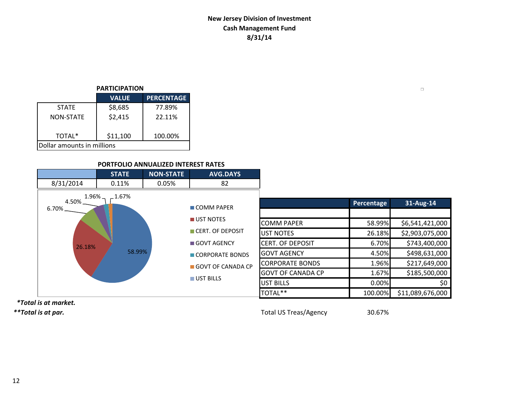# **New Jersey Division of Investment Cash Management Fund 8/31/14**

## **PARTICIPATION**

|                            | <b>VALUE</b> | <b>PERCENTAGE</b> |  |  |  |  |
|----------------------------|--------------|-------------------|--|--|--|--|
| <b>STATE</b>               | \$8,685      | 77.89%            |  |  |  |  |
| <b>NON-STATE</b>           | \$2,415      | 22.11%            |  |  |  |  |
| TOTAL*                     | \$11,100     | 100.00%           |  |  |  |  |
| Dollar amounts in millions |              |                   |  |  |  |  |

## **PORTFOLIO ANNUALIZED INTEREST RATES**

|                                   | <b>STATE</b> | <b>NON-STATE</b> | <b>AVG.DAYS</b>   |                          |            |                  |
|-----------------------------------|--------------|------------------|-------------------|--------------------------|------------|------------------|
| 8/31/2014                         | 0.11%        | 0.05%            | 82                |                          |            |                  |
| $1.96\%$ $-$<br>4.50%<br>$6.70\%$ | $-1.67%$     |                  | <b>COMM PAPER</b> |                          | Percentage | 31-Aug-14        |
|                                   |              |                  | UST NOTES         | COMM PAPER               | 58.99%     | \$6,541,421,000  |
|                                   |              |                  | CERT. OF DEPOSIT  | UST NOTES                | 26.18%     | \$2,903,075,000  |
| 26.18%                            |              |                  | GOVT AGENCY       | <b>ICERT. OF DEPOSIT</b> | 6.70%      | \$743,400,000    |
|                                   | 58.99%       |                  | CORPORATE BONDS   | <b>GOVT AGENCY</b>       | 4.50%      | \$498,631,000    |
|                                   |              |                  | GOVT OF CANADA CP | <b>CORPORATE BONDS</b>   | 1.96%      | \$217,649,000    |
|                                   |              |                  |                   | <b>GOVT OF CANADA CP</b> | 1.67%      | \$185,500,000    |
|                                   |              |                  | UST BILLS         | <b>UST BILLS</b>         | 0.00%      | \$0              |
|                                   |              |                  |                   | TOTAL**                  | 100.00%    | \$11,089,676,000 |

 *\*Total is at market.*

*\*\*Total is at par.* Total US Treas/Agency 30.67%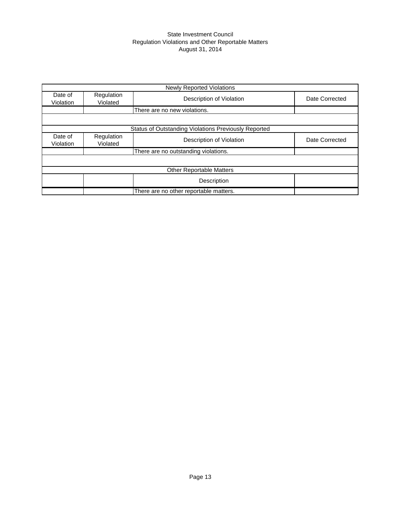#### State Investment Council Regulation Violations and Other Reportable Matters August 31, 2014

|                      | <b>Newly Reported Violations</b> |                                                      |                |  |  |  |  |  |
|----------------------|----------------------------------|------------------------------------------------------|----------------|--|--|--|--|--|
| Date of<br>Violation | Regulation<br>Violated           | Description of Violation                             | Date Corrected |  |  |  |  |  |
|                      |                                  | There are no new violations.                         |                |  |  |  |  |  |
|                      |                                  |                                                      |                |  |  |  |  |  |
|                      |                                  | Status of Outstanding Violations Previously Reported |                |  |  |  |  |  |
| Date of<br>Violation | Regulation<br>Violated           | Description of Violation                             | Date Corrected |  |  |  |  |  |
|                      |                                  | There are no outstanding violations.                 |                |  |  |  |  |  |
|                      |                                  |                                                      |                |  |  |  |  |  |
|                      |                                  | <b>Other Reportable Matters</b>                      |                |  |  |  |  |  |
|                      |                                  | Description                                          |                |  |  |  |  |  |
|                      |                                  | There are no other reportable matters.               |                |  |  |  |  |  |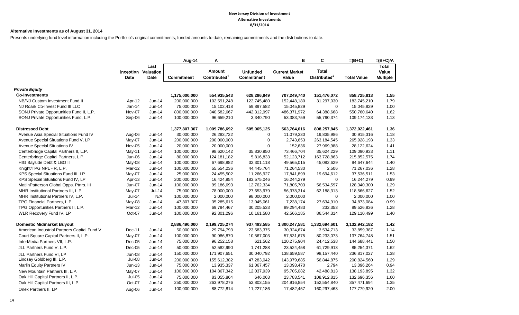#### **Alternative Investments as of August 31, 2014**

Presents underlying fund level information including the Portfolio's original commitments, funded amounts to date, remaining commitments and the distributions to date.

|                                             |               |                                     | Aug-14        | Α                                  |                                      | B                              | C                                        | $=(B+C)$           | $=(B+C)/A$                        |
|---------------------------------------------|---------------|-------------------------------------|---------------|------------------------------------|--------------------------------------|--------------------------------|------------------------------------------|--------------------|-----------------------------------|
|                                             | Date          | Last<br>Inception Valuation<br>Date | Commitment    | Amount<br>Contributed <sup>1</sup> | <b>Unfunded</b><br><b>Commitment</b> | <b>Current Market</b><br>Value | <b>Total</b><br>Distributed <sup>2</sup> | <b>Total Value</b> | Total<br>Value<br><b>Multiple</b> |
| <b>Private Equity</b>                       |               |                                     |               |                                    |                                      |                                |                                          |                    |                                   |
| <b>Co-Investments</b>                       |               |                                     | 1,175,000,000 | 554,935,543                        | 628,296,849                          | 707,249,740                    | 151,476,072                              | 858,725,813        | 1.55                              |
| NB/NJ Custom Investment Fund II             | Apr-12        | Jun-14                              | 200,000,000   | 102,591,248                        | 122,745,480                          | 152,448,180                    | 31,297,030                               | 183,745,210        | 1.79                              |
| NJ Roark Co-Invest Fund III LLC             | $Jan-14$      | Jun-14                              | 75,000,000    | 15,102,418                         | 59,897,582                           | 15,045,829                     | $\mathbf 0$                              | 15,045,829         | 1.00                              |
| SONJ Private Opportunities Fund II, L.P.    | Nov-07        | Jun-14                              | 800,000,000   | 340,582,667                        | 442,312,997                          | 486,371,972                    | 64,388,668                               | 550,760,640        | 1.62                              |
| SONJ Private Opportunities Fund, L.P.       | Sep-06        | Jun-14                              | 100,000,000   | 96,659,210                         | 3,340,790                            | 53,383,759                     | 55,790,374                               | 109,174,133        | 1.13                              |
| <b>Distressed Debt</b>                      |               |                                     | 1,377,807,307 | 1,009,786,692                      | 505,065,125                          | 563,764,616                    | 808,257,845                              | 1,372,022,461      | 1.36                              |
| Avenue Asia Special Situations Fund IV      | Aug-06        | Jun-14                              | 30,000,000    | 26,283,722                         | $\mathbf 0$                          | 11,079,330                     | 19,835,986                               | 30,915,316         | 1.18                              |
| Avenue Special Situations Fund V, LP        | May-07        | Jun-14                              | 200,000,000   | 200,000,000                        | 0                                    | 2,743,653                      | 263,184,545                              | 265,928,198        | 1.33                              |
| Avenue Special Situations IV                | Nov-05        | Jun-14                              | 20,000,000    | 20,000,000                         | 0                                    | 152,636                        | 27,969,988                               | 28,122,624         | 1.41                              |
| Centerbridge Capital Partners II, L.P.      | May-11        | Jun-14                              | 100,000,000   | 98,620,142                         | 35,830,950                           | 73,466,704                     | 35,624,229                               | 109,090,933        | 1.11                              |
| Centerbridge Capital Partners, L.P.         | Jun-06        | Jun-14                              | 80,000,000    | 124, 181, 182                      | 5,816,833                            | 52,123,712                     | 163,728,863                              | 215,852,575        | 1.74                              |
| HIG Bayside Debt & LBO II                   | May-08        | Jun-14                              | 100,000,000   | 67,698,882                         | 32,301,118                           | 49,565,015                     | 45,082,629                               | 94,647,644         | 1.40                              |
| Knight/TPG NPL - R, L.P.                    | Mar-12        | Jun-14                              | 100,000,000   | 55,554,236                         | 44,445,764                           | 71,264,530                     | 2,506                                    | 71,267,036         | 1.28                              |
| KPS Special Situations Fund III, LP         | May-07        | $Jun-14$                            | 25,000,000    | 24,455,502                         | 11,266,927                           | 17,841,899                     | 19,694,612                               | 37,536,511         | 1.53                              |
| KPS Special Situations Fund IV, LP          | Apr-13        | Jun-14                              | 200,000,000   | 16,424,954                         | 183,575,046                          | 16,244,279                     | $\mathbf 0$                              | 16,244,279         | 0.99                              |
| MatlinPatterson Global Opps. Ptnrs. III     | Jun-07        | Jun-14                              | 100,000,000   | 99,186,693                         | 12,762,334                           | 71,805,703                     | 56,534,597                               | 128,340,300        | 1.29                              |
| MHR Institutional Partners III, L.P.        | May-07        | <b>Jul-14</b>                       | 75,000,000    | 78,000,000                         | 27,653,979                           | 56,378,314                     | 62,188,313                               | 118,566,627        | 1.52                              |
| MHR Institutional Partners IV, L.P.         | Jul-14        | N/A                                 | 100,000,000   | 2,000,000                          | 98,000,000                           | 2,000,000                      | $\mathbf 0$                              | 2,000,000          | 1.00                              |
| TPG Financial Partners, L.P.                | May-08        | Jun-14                              | 47,807,307    | 35,285,615                         | 13,045,061                           | 7,238,174                      | 27,634,910                               | 34,873,084         | 0.99                              |
| TPG Opportunities Partners II, L.P.         | Mar-12        | Jun-14                              | 100,000,000   | 69,794,467                         | 30,205,533                           | 89,294,483                     | 232,353                                  | 89,526,836         | 1.28                              |
| WLR Recovery Fund IV, LP                    | Oct-07        | Jun-14                              | 100,000,000   | 92,301,296                         | 10,161,580                           | 42,566,185                     | 86,544,314                               | 129,110,499        | 1.40                              |
| <b>Domestic Midmarket Buyout</b>            |               |                                     | 2,886,490,000 | 2,199,725,274                      | 937,493,585                          | 1,800,247,581                  | 1,332,694,601                            | 3,132,942,182      | 1.42                              |
| American Industrial Partners Capital Fund V | Dec-11        | Jun-14                              | 50,000,000    | 29,794,793                         | 23,583,375                           | 30,324,674                     | 3,534,713                                | 33,859,387         | 1.14                              |
| Court Square Capital Partners II, L.P.      | May-07        | Jun-14                              | 100,000,000   | 90,986,870                         | 10,567,003                           | 57,531,675                     | 80,233,073                               | 137,764,748        | 1.51                              |
| InterMedia Partners VII, L.P.               | Dec-05        | Jun-14                              | 75,000,000    | 96,252,158                         | 621,562                              | 120,275,904                    | 24,412,538                               | 144,688,441        | 1.50                              |
| JLL Partners Fund V, L.P.                   | Dec-05        | Jun-14                              | 50,000,000    | 52,582,990                         | 1,741,288                            | 23,524,458                     | 61,729,913                               | 85,254,371         | 1.62                              |
| JLL Partners Fund VI. LP                    | <b>Jun-08</b> | $Jun-14$                            | 150,000,000   | 171,907,651                        | 30,040,792                           | 138,659,587                    | 98,157,440                               | 236,817,027        | 1.38                              |
| Lindsay Goldberg III, L.P.                  | Jul-08        | Jun-14                              | 200,000,000   | 155,612,382                        | 47,283,042                           | 143,979,685                    | 56,844,875                               | 200,824,560        | 1.29                              |
| Marlin Equity Partners IV                   | $Jun-13$      | Jun-14                              | 75,000,000    | 13,935,337                         | 61,067,457                           | 13,093,470                     | 2,794                                    | 13,096,264         | 0.94                              |
| New Mountain Partners III, L.P.             | May-07        | Jun-14                              | 100,000,000   | 104,867,342                        | 12,037,939                           | 95,705,082                     | 42,488,813                               | 138,193,895        | 1.32                              |
| Oak Hill Capital Partners II, L.P.          | <b>Jul-05</b> | Jun-14                              | 75,000,000    | 83,055,864                         | 646,063                              | 23,783,541                     | 108,912,815                              | 132,696,356        | 1.60                              |
| Oak Hill Capital Partners III, L.P.         | Oct-07        | Jun-14                              | 250,000,000   | 263,978,276                        | 52,803,155                           | 204,916,854                    | 152,554,840                              | 357,471,694        | 1.35                              |
| Onex Partners II, LP                        | Aug-06        | Jun-14                              | 100,000,000   | 88,772,814                         | 11,227,186                           | 17,482,457                     | 160,297,463                              | 177,779,920        | 2.00                              |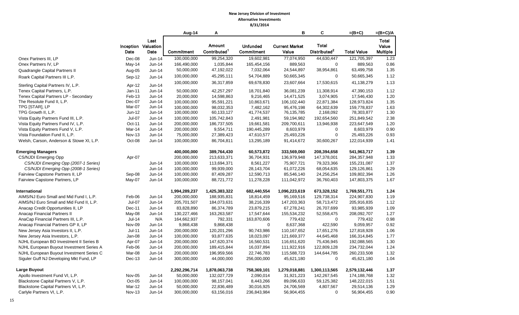|                                          |               |                                     | Aug-14        | Α                                  |                               | B                              | C                                        | $=(B+C)$           | $=(B+C)/A$                        |
|------------------------------------------|---------------|-------------------------------------|---------------|------------------------------------|-------------------------------|--------------------------------|------------------------------------------|--------------------|-----------------------------------|
|                                          | Date          | Last<br>Inception Valuation<br>Date | Commitment    | Amount<br>Contributed <sup>1</sup> | <b>Unfunded</b><br>Commitment | <b>Current Market</b><br>Value | <b>Total</b><br>Distributed <sup>2</sup> | <b>Total Value</b> | Total<br>Value<br><b>Multiple</b> |
| Onex Partners III, LP                    | Dec-08        | Jun-14                              | 100,000,000   | 99,254,320                         | 19,602,981                    | 77,074,950                     | 44,630,447                               | 121,705,397        | 1.23                              |
| Onex Partners IV, LP                     | May-14        | Jun-14                              | 166,490,000   | 1,035,844                          | 165,454,156                   | 889,563                        | $\mathbf 0$                              | 889,563            | 0.86                              |
| Quadrangle Capital Partners II           | Aug-05        | Jun-14                              | 50,000,000    | 47,192,022                         | 7,032,064                     | 24,544,897                     | 38,954,861                               | 63,499,758         | 1.35                              |
| Roark Capital Partners III L.P.          | Sep-12        | Jun-14                              | 100,000,000   | 45,295,111                         | 54,704,889                    | 50,665,345                     | 0                                        | 50,665,345         | 1.12                              |
| Sterling Capital Partners IV, L.P.       | Apr-12        | Jun-14                              | 100,000,000   | 36,317,859                         | 69,678,830                    | 23,607,664                     | 17,530,615                               | 41,138,279         | 1.13                              |
| Tenex Capital Partners, L.P.             | Jan-11        | Jun-14                              | 50,000,000    | 42,257,297                         | 18,701,840                    | 36,081,239                     | 11,308,914                               | 47,390,153         | 1.12                              |
| Tenex Capital Partners LP - Secondary    | Feb-13        | Jun-14                              | 20,000,000    | 14,598,863                         | 9,216,465                     | 14,471,525                     | 3,074,905                                | 17,546,430         | 1.20                              |
| The Resolute Fund II, L.P.               | Dec-07        | Jun-14                              | 100,000,000   | 95,591,221                         | 10,863,671                    | 106,102,440                    | 22,871,384                               | 128,973,824        | 1.35                              |
| TPG [STAR], LP                           | Mar-07        | Jun-14                              | 100,000,000   | 98,032,353                         | 7,482,162                     | 95,476,198                     | 64,302,639                               | 159,778,837        | 1.63                              |
| TPG Growth II, L.P.                      | Jun-12        | Jun-14                              | 100,000,000   | 60,133,127                         | 41,774,537                    | 76,135,785                     | 2,168,092                                | 78,303,877         | 1.30                              |
| Vista Equity Partners Fund III, L.P.     | Jul-07        | Jun-14                              | 100,000,000   | 105,742,843                        | 2,491,981                     | 59,194,982                     | 192,654,560                              | 251,849,542        | 2.38                              |
| Vista Equity Partners Fund IV, L.P.      | Oct-11        | Jun-14                              | 200,000,000   | 186,737,505                        | 19,661,581                    | 209,700,611                    | 13,946,938                               | 223,647,549        | 1.20                              |
| Vista Equity Partners Fund V, L.P.       | Mar-14        | $Jun-14$                            | 200,000,000   | 9,554,711                          | 190,445,289                   | 8,603,979                      | $\mathbf 0$                              | 8,603,979          | 0.90                              |
| Vista Foundation Fund II, L.P.           | <b>Nov-13</b> | Jun-14                              | 75,000,000    | 27,389,423                         | 47,610,577                    | 25,493,226                     | $\mathbf 0$                              | 25,493,226         | 0.93                              |
| Welsh, Carson, Anderson & Stowe XI, L.P. | Oct-08        | Jun-14                              | 100,000,000   | 86,704,811                         | 13,295,189                    | 91,414,672                     | 30,600,267                               | 122,014,939        | 1.41                              |
| <b>Emerging Managers</b>                 |               |                                     | 400,000,000   | 389,764,430                        | 60,573,872                    | 333,569,060                    | 208,394,658                              | 541,963,717        | 1.39                              |
| <b>CS/NJDI Emerging Opp</b>              | Apr-07        |                                     | 200,000,000   | 213,633,371                        | 36,704,931                    | 136,979,948                    | 147,378,001                              | 284,357,948        | 1.33                              |
| CS/NJDI Emerging Opp (2007-1 Series)     |               | Jun-14                              | 100,000,000   | 113,694,371                        | 8,561,227                     | 75,907,721                     | 79,323,366                               | 155,231,087        | 1.37                              |
| CS/NJDI Emerging Opp (2008-1 Series)     |               | Jun-14                              | 100,000,000   | 99,939,000                         | 28,143,704                    | 61,072,226                     | 68,054,635                               | 129,126,861        | 1.29                              |
| Fairview Capstone Partners II, LP        | Sep-08        | Jun-14                              | 100,000,000   | 87,409,287                         | 12,590,713                    | 85,546,140                     | 24,256,254                               | 109,802,394        | 1.26                              |
| Fairview Capstone Partners, LP           | May-07        | Jun-14                              | 100,000,000   | 88,721,772                         | 11,278,228                    | 111,042,972                    | 36,760,403                               | 147,803,375        | 1.67                              |
| International                            |               |                                     | 1,994,289,237 | 1,425,383,322                      | 682,440,554                   | 1,096,223,619                  | 673,328,152                              | 1,769,551,771      | 1.24                              |
| AIMS/NJ Euro Small and Mid Fund I, L.P.  | Feb-06        | Jun-14                              | 200,000,000   | 188,935,831                        | 18,814,459                    | 95,169,516                     | 129,738,314                              | 224,907,830        | 1.19                              |
| AIMS/NJ Euro Small and Mid Fund II, L.P. | Jul-07        | Jun-14                              | 205,701,507   | 184,073,631                        | 38,216,339                    | 147,203,363                    | 58,713,472                               | 205,916,835        | 1.12                              |
| Anacap Credit Opportunities II, LP       | Dec-11        | Jun-14                              | 83,828,890    | 86,374,789                         | 23,879,215                    | 67,278,241                     | 26,707,699                               | 93,985,939         | 1.09                              |
| Anacap Financial Partners II             | May-08        | Jun-14                              | 130,227,466   | 163,263,587                        | 17,547,644                    | 155,534,232                    | 52,558,475                               | 208,092,707        | 1.27                              |
| AnaCap Financial Partners III, L.P.      | <b>Jul-14</b> | N/A                                 | 164,662,937   | 792,331                            | 163,870,606                   | 779,432                        | $\mathbf 0$                              | 779,432            | 0.98                              |
| Anacap Financial Partners GP II, LP      | Nov-09        | Jun-14                              | 9,868,438     | 9,868,438                          | 0                             | 8,637,368                      | 422,590                                  | 9,059,957          | 0.92                              |
| New Jersey Asia Investors II, L.P.       | $Jul-11$      | Jun-14                              | 200,000,000   | 120,201,296                        | 90,743,986                    | 110,167,652                    | 17,651,276                               | 127,818,928        | 1.06                              |
| New Jersey Asia Investors, L.P.          | Jan-08        | Jun-14                              | 100,000,000   | 93,877,635                         | 18,023,097                    | 121,669,377                    | 44,645,468                               | 166,314,845        | 1.77                              |
| NJHL European BO Investment II Series B  | Apr-07        | Jun-14                              | 200,000,000   | 147,620,374                        | 16,560,531                    | 116,651,620                    | 75,436,945                               | 192,088,565        | 1.30                              |
| NJHL European Buyout Investment Series A | Feb-06        | Jun-14                              | 200,000,000   | 189,415,844                        | 16,037,894                    | 111,922,916                    | 122,809,128                              | 234,732,044        | 1.24                              |
| NJHL European Buyout Investment Series C | Mar-08        | $Jun-14$                            | 200,000,000   | 196,959,566                        | 22,746,783                    | 115,588,723                    | 144,644,785                              | 260,233,508        | 1.32                              |
| Siguler Guff NJ Developing Mkt Fund, LP  | $Dec-13$      | Jun-14                              | 300,000,000   | 44,000,000                         | 256,000,000                   | 45,621,180                     | $\mathbf 0$                              | 45,621,180         | 1.04                              |
| <b>Large Buyout</b>                      |               |                                     | 2,292,296,714 | 1,878,063,738                      | 758,369,101                   | 1,279,018,881                  | 1,300,113,565                            | 2,579,132,446      | 1.37                              |
| Apollo Investment Fund VI, L.P.          | Nov-05        | Jun-14                              | 50,000,000    | 132,027,729                        | 2,090,014                     | 31,921,223                     | 142,267,545                              | 174,188,768        | 1.32                              |
| Blackstone Capital Partners V, L.P.      | Oct-05        | Jun-14                              | 100,000,000   | 98,157,041                         | 8,443,266                     | 89,096,633                     | 59,125,382                               | 148,222,015        | 1.51                              |
| Blackstone Capital Partners VI, L.P.     | Mar-12        | $Jun-14$                            | 50,000,000    | 22,836,489                         | 30,016,925                    | 24,706,569                     | 4,807,567                                | 29,514,136         | 1.29                              |
| Carlyle Partners VI, L.P.                | <b>Nov-13</b> | Jun-14                              | 300,000,000   | 63,156,016                         | 236,843,984                   | 56,904,455                     | $\Omega$                                 | 56,904,455         | 0.90                              |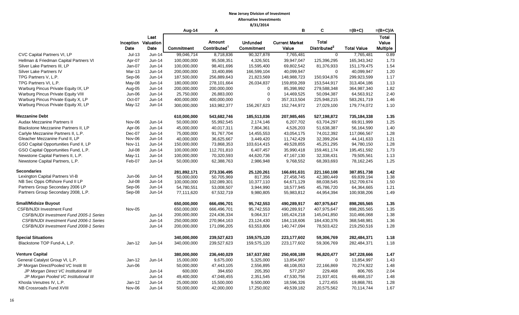|                                         |               |                            | Aug-14            | Α                        |                 | в                     | C                        | $=(B+C)$           | $=(B+C)/A$      |
|-----------------------------------------|---------------|----------------------------|-------------------|--------------------------|-----------------|-----------------------|--------------------------|--------------------|-----------------|
|                                         |               | Last                       |                   |                          |                 |                       |                          |                    | Total           |
|                                         |               | <b>Inception Valuation</b> |                   | <b>Amount</b>            | <b>Unfunded</b> | <b>Current Market</b> | <b>Total</b>             |                    | Value           |
|                                         | Date          | Date                       | <b>Commitment</b> | Contributed <sup>1</sup> | Commitment      | Value                 | Distributed <sup>2</sup> | <b>Total Value</b> | <b>Multiple</b> |
| CVC Capital Partners VI, LP             | $Jul-13$      | $Jun-14$                   | 99,046,714        | 8,718,836                | 90,327,878      | 7,765,481             | $\mathbf 0$              | 7,765,481          | 0.89            |
| Hellman & Friedman Capital Partners VI  | Apr-07        | Jun-14                     | 100,000,000       | 95,508,351               | 4,326,501       | 39,947,047            | 125,396,295              | 165,343,342        | 1.73            |
| Silver Lake Partners III, LP            | Jan-07        | Jun-14                     | 100,000,000       | 98,401,696               | 15,595,400      | 69,802,542            | 81,376,933               | 151,179,475        | 1.54            |
| Silver Lake Partners IV                 | <b>Mar-13</b> | Jun-14                     | 200,000,000       | 33,400,896               | 166,599,104     | 40,099,947            | $\Omega$                 | 40,099,947         | 1.20            |
| TPG Partners V, L.P.                    | Sep-06        | $Jun-14$                   | 187,500,000       | 256,889,643              | 21,823,569      | 148,988,723           | 150,934,876              | 299,923,599        | 1.17            |
| TPG Partners VI, L.P.                   | May-08        | $Jun-14$                   | 180,000,000       | 278,101,664              | 26,034,837      | 159,859,269           | 153,544,917              | 313,404,186        | 1.13            |
| Warburg Pincus Private Equity IX, LP    | Aug-05        | Jun-14                     | 200,000,000       | 200,000,000              | $\mathbf 0$     | 85,398,992            | 279,588,348              | 364,987,340        | 1.82            |
| Warburg Pincus Private Equity VIII      | Jun-06        | Jun-14                     | 25,750,000        | 26,883,000               | $\mathsf 0$     | 14,469,525            | 50,094,387               | 64,563,912         | 2.40            |
| Warburg Pincus Private Equity X, LP     | Oct-07        | Jun-14                     | 400,000,000       | 400,000,000              | 0               | 357,313,504           | 225,948,215              | 583,261,719        | 1.46            |
| Warburg Pincus Private Equity XI, LP    | May-12        | Jun-14                     | 300,000,000       | 163,982,377              | 156,267,623     | 152,744,972           | 27,029,100               | 179,774,072        | 1.10            |
| <b>Mezzanine Debt</b>                   |               |                            | 610,000,000       | 543,682,746              | 185,513,036     | 207,985,465           | 527,198,872              | 735,184,338        | 1.35            |
| Audax Mezzanine Partners II             | Nov-06        | Jun-14                     | 50,000,000        | 55,992,545               | 2,174,146       | 6,207,702             | 63,704,297               | 69,911,999         | 1.25            |
| Blackstone Mezzanine Partners II, LP    | Apr-06        | Jun-14                     | 45,000,000        | 40,017,311               | 7,804,361       | 4,526,203             | 51,638,387               | 56,164,590         | 1.40            |
| Carlyle Mezzanine Partners II, L.P.     | Dec-07        | Jun-14                     | 75,000,000        | 91,767,704               | 14,455,553      | 43,054,175            | 74,012,392               | 117,066,567        | 1.28            |
| Gleacher Mezzanine Fund II, LP          | Nov-06        | Jun-14                     | 40,000,000        | 36,625,667               | 3,449,420       | 11,742,429            | 32,399,204               | 44,141,633         | 1.21            |
| GSO Capital Opportunities Fund II, LP   | <b>Nov-11</b> | Jun-14                     | 150,000,000       | 73,868,353               | 103,614,415     | 49,528,855            | 45,251,295               | 94,780,150         | 1.28            |
| GSO Capital Opportunities Fund, L.P.    | Jul-08        | Jun-14                     | 100,000,000       | 112,701,810              | 6,407,457       | 35,990,418            | 159,461,174              | 195,451,592        | 1.73            |
| Newstone Capital Partners II, L.P.      | May-11        | Jun-14                     | 100,000,000       | 70,320,593               | 44,620,736      | 47,167,130            | 32,338,431               | 79,505,561         | 1.13            |
| Newstone Capital Partners, L.P.         | Feb-07        | Jun-14                     | 50,000,000        | 62,388,763               | 2,986,948       | 9,768,552             | 68,393,693               | 78,162,245         | 1.25            |
| <b>Secondaries</b>                      |               |                            | 281,892,171       | 273,336,495              | 25,120,261      | 166.691.631           | 221,160,108              | 387,851,738        | 1.42            |
| Lexington Capital Partners VI-B         | Jun-06        | Jun-14                     | 50.000.000        | 50.705.969               | 817,356         | 27.458.745            | 42,380,449               | 69.839.194         | 1.38            |
| NB Sec Opps Offshore Fund II LP         | <b>Jul-08</b> | Jun-14                     | 100,000,000       | 102,089,301              | 10,377,110      | 64,671,129            | 88,038,545               | 152,709,674        | 1.50            |
| Partners Group Secondary 2006 LP        | Sep-06        | Jun-14                     | 54,780,551        | 53,008,507               | 3,944,990       | 18,577,945            | 45,786,720               | 64,364,665         | 1.21            |
| Partners Group Secondary 2008, L.P.     | Sep-08        | Jun-14                     | 77,111,620        | 67,532,719               | 9,980,805       | 55,983,812            | 44,954,394               | 100,938,206        | 1.49            |
| <b>Small/Midsize Buyout</b>             |               |                            | 650,000,000       | 666,496,701              | 95,742,553      | 490,289,917           | 407,975,647              | 898,265,565        | 1.35            |
| <b>CSFB/NJDI Investment Fund</b>        | Nov-05        |                            | 650,000,000       | 666,496,701              | 95,742,553      | 490,289,917           | 407,975,647              | 898,265,565        | 1.35            |
| CSFB/NJDI Investment Fund 2005-1 Series |               | Jun-14                     | 200,000,000       | 224,436,334              | 9,064,317       | 165,424,218           | 145,041,850              | 310,466,068        | 1.38            |
| CSFB/NJDI Investment Fund 2006-1 Series |               | $Jun-14$                   | 250,000,000       | 270,964,163              | 23,124,430      | 184,118,606           | 184,430,376              | 368,548,981        | 1.36            |
| CSFB/NJDI Investment Fund 2008-1 Series |               | Jun-14                     | 200,000,000       | 171,096,205              | 63,553,806      | 140,747,094           | 78,503,422               | 219,250,516        | 1.28            |
| <b>Special Situations</b>               |               |                            | 340,000,000       | 239,527,623              | 159,575,120     | 223,177,602           | 59,306,769               | 282,484,371        | 1.18            |
| Blackstone TOP Fund-A, L.P.             | $Jan-12$      | Jun-14                     | 340,000,000       | 239,527,623              | 159,575,120     | 223,177,602           | 59,306,769               | 282,484,371        | 1.18            |
| <b>Venture Capital</b>                  |               |                            | 380,000,000       | 236,440,029              | 167,637,592     | 250,408,189           | 96,820,477               | 347,228,666        | 1.47            |
| General Catalyst Group VI, L.P.         | $Jan-12$      | Jun-14                     | 15,000,000        | 9,675,000                | 5,325,000       | 13,854,997            | $\mathbf 0$              | 13,854,997         | 1.43            |
| JP Morgan Direct/Pooled VC Instit III   | Jun-06        |                            | 50,000,000        | 47,443,105               | 2,556,895       | 48,108,053            | 22,166,869               | 70,274,922         | 1.48            |
| JP Morgan Direct VC Institutional III   |               | Jun-14                     | 600,000           | 394,650                  | 205,350         | 577,297               | 229,468                  | 806,765            | 2.04            |
| JP Morgan Pooled VC Institutional III   |               | Jun-14                     | 49,400,000        | 47,048,455               | 2,351,545       | 47,530,756            | 21,937,401               | 69,468,157         | 1.48            |
| Khosla Venutres IV, L.P.                | $Jan-12$      | $Jun-14$                   | 25,000,000        | 15,500,000               | 9,500,000       | 18,596,326            | 1,272,455                | 19,868,781         | 1.28            |
| NB Crossroads Fund XVIII                | Nov-06        | Jun-14                     | 50,000,000        | 42,000,000               | 17,250,002      | 49,539,182            | 20,575,562               | 70,114,744         | 1.67            |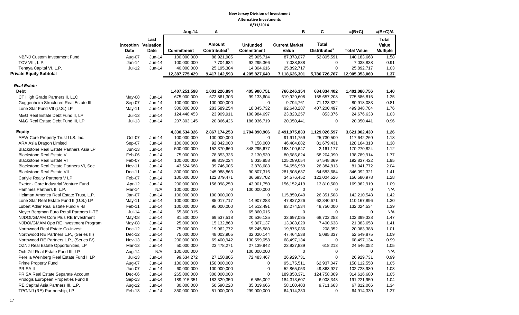|                                                |          |                     | Aug-14         | А                        |                 | B                     | С                        | $=(B+C)$           | $=(B+C)/A$      |
|------------------------------------------------|----------|---------------------|----------------|--------------------------|-----------------|-----------------------|--------------------------|--------------------|-----------------|
|                                                |          | Last                |                |                          |                 |                       |                          |                    | Total           |
|                                                |          | Inception Valuation |                | Amount                   | <b>Unfunded</b> | <b>Current Market</b> | <b>Total</b>             |                    | Value           |
|                                                | Date     | Date                | Commitment     | Contributed <sup>1</sup> | Commitment      | Value                 | Distributed <sup>2</sup> | <b>Total Value</b> | <b>Multiple</b> |
| NB/NJ Custom Investment Fund                   | Aug-07   | Jun-14              | 100,000,000    | 88,921,905               | 25,905,714      | 87,378,077            | 52,805,591               | 140,183,668        | 1.58            |
| TCV VIII, L.P.                                 | $Jan-14$ | Jun-14              | 100,000,000    | 7,704,634                | 92,295,366      | 7,038,838             | $\mathbf 0$              | 7,038,838          | 0.91            |
| Tenaya Capital VI, L.P.                        | Jul-12   | Jun-14              | 40,000,000     | 25,195,384               | 14,804,616      | 25,892,717            | $\mathbf 0$              | 25,892,717         | 1.03            |
| <b>Private Equity Subtotal</b>                 |          |                     | 12,387,775,429 | 9,417,142,593            | 4,205,827,649   | 7,118,626,301         | 5,786,726,767            | 12,905,353,069     | 1.37            |
| <b>Real Estate</b>                             |          |                     |                |                          |                 |                       |                          |                    |                 |
| <b>Debt</b>                                    |          |                     | 1,407,251,598  | 1,001,226,894            | 405,900,751     | 766,246,354           | 634,834,402              | 1,401,080,756      | 1.40            |
| CT High Grade Partners II, LLC                 | May-08   | Jun-14              | 675,000,000    | 572,861,303              | 99,133,604      | 619,929,608           | 155,657,208              | 775,586,815        | 1.35            |
| Guggenheim Structured Real Estate III          | Sep-07   | Jun-14              | 100,000,000    | 100,000,000              | 0               | 9,794,761             | 71,123,322               | 80,918,083         | 0.81            |
| Lone Star Fund VII (U.S.) LP                   | May-11   | Jun-14              | 300,000,000    | 283,589,254              | 18,845,732      | 92,648,287            | 407,200,497              | 499,848,784        | 1.76            |
| M&G Real Estate Debt Fund II, LP               | $Jul-13$ | $Jun-14$            | 124,448,453    | 23,909,911               | 100,984,697     | 23,823,257            | 853,376                  | 24,676,633         | 1.03            |
| M&G Real Estate Debt Fund III, LP              | $Jul-13$ | Jun-14              | 207,803,145    | 20,866,426               | 186,936,719     | 20,050,441            | $\mathbf 0$              | 20,050,441         | 0.96            |
| <b>Equity</b>                                  |          |                     | 4,330,534,326  | 2,867,174,253            | 1,704,890,906   | 2,491,975,833         | 1,129,026,597            | 3,621,002,430      | 1.26            |
| AEW Core Property Trust U.S. Inc.              | Oct-07   | Jun-14              | 100,000,000    | 100,000,000              | $\mathbf 0$     | 91,911,759            | 25,730,500               | 117,642,260        | 1.18            |
| ARA Asia Dragon Limited                        | Sep-07   | $Jun-14$            | 100,000,000    | 92,842,000               | 7,158,000       | 46,484,882            | 81,679,431               | 128,164,313        | 1.38            |
| <b>Blackstone Real Estate Partners Asia LP</b> | $Jun-13$ | $Jun-14$            | 500,000,000    | 152,370,660              | 348,295,677     | 168,109,647           | 2,161,177                | 170,270,824        | 1.12            |
| <b>Blackstone Real Estate V</b>                | Feb-06   | $Jun-14$            | 75,000,000     | 78,353,336               | 3,130,539       | 80,585,824            | 58,204,090               | 138,789,914        | 1.77            |
| <b>Blackstone Real Estate VI</b>               | Feb-07   | Jun-14              | 100,000,000    | 98,819,024               | 5,035,858       | 125,289,054           | 67,548,369               | 192,837,422        | 1.95            |
| Blackstone Real Estate Partners VI, Sec        | Nov-11   | Jun-14              | 43,624,688     | 39,746,005               | 3,878,683       | 54,656,959            | 26,384,813               | 81,041,772         | 2.04            |
| <b>Blackstone Real Estate VII</b>              | Dec-11   | Jun-14              | 300,000,000    | 245,988,863              | 90,807,316      | 281,508,637           | 64,583,684               | 346,092,321        | 1.41            |
| Carlyle Realty Partners V LP                   | Feb-07   | Jun-14              | 100,000,000    | 122,379,471              | 36,693,702      | 34,576,452            | 122,004,526              | 156,580,978        | 1.28            |
| Exeter - Core Industrial Venture Fund          | Apr-12   | Jun-14              | 200,000,000    | 156,098,250              | 43,901,750      | 156, 152, 419         | 13,810,500               | 169,962,919        | 1.09            |
| Hammes Partners II, L.P.                       | Mar-14   | N/A                 | 100,000,000    | 0                        | 100,000,000     | $\mathbf 0$           | $\mathbf 0$              | $\Omega$           | N/A             |
| Heitman America Real Estate Trust, L.P.        | Jan-07   | Jun-14              | 100,000,000    | 100,000,000              | $\mathbf 0$     | 115,859,040           | 26,351,508               | 142,210,548        | 1.42            |
| Lone Star Real Estate Fund II (U.S.) LP        | May-11   | Jun-14              | 100,000,000    | 85,017,717               | 14,907,283      | 47,827,226            | 62,340,671               | 110,167,896        | 1.30            |
| Lubert Adler Real Estate Fund VI-B             | Feb-11   | Jun-14              | 100,000,000    | 95,000,000               | 14,512,491      | 83,274,534            | 48,750,000               | 132,024,534        | 1.39            |
| Meyer Bergman Euro Retail Partners II-TE       | Jul-14   | Jun-14              | 65,860,015     | $\mathbf 0$              | 65,860,015      | $\mathbf 0$           | $\mathbf 0$              | 0                  | N/A             |
| NJDOI/GMAM Core Plus RE Investment             | May-08   | Jun-14              | 81,500,000     | 69,537,518               | 20,536,135      | 33,697,085            | 68,702,253               | 102,399,338        | 1.47            |
| NJDOI/GMAM Opp RE Investment Program           | May-08   | Jun-14              | 25,000,000     | 15,132,863               | 9,867,137       | 13,983,020            | 7,400,638                | 21,383,658         | 1.41            |
| Northwood Real Estate Co-Invest                | Dec-12   | Jun-14              | 75,000,000     | 19,962,772               | 55,245,580      | 19,875,036            | 208,352                  | 20,083,388         | 1.01            |
| Northwood RE Partners L.P., (Series III)       | Dec-12   | Jun-14              | 75,000,000     | 48,003,905               | 32,020,144      | 47,464,538            | 5,085,337                | 52,549,875         | 1.09            |
| Northwood RE Partners L.P., (Series IV)        | Nov-13   | Jun-14              | 200,000,000    | 69,400,942               | 130,599,058     | 68,497,134            | $\mathbf 0$              | 68,497,134         | 0.99            |
| OZNJ Real Estate Opportunities, LP             | Mar-13   | Jun-14              | 50,000,000     | 23,478,271               | 27,139,942      | 23,927,839            | 618,213                  | 24,546,052         | 1.05            |
| Och-Ziff Real Estate Fund III, LP              | Aug-14   | N/A                 | 100,000,000    | $\mathbf 0$              | 100,000,000     | $\mathbf 0$           | $\mathbf 0$              | $\mathbf 0$        | N/A             |
| Perella Weinberg Real Estate Fund II LP        | $Jul-13$ | $Jun-14$            | 99,634,272     | 27,150,805               | 72,483,467      | 26,929,731            | $\pmb{0}$                | 26,929,731         | 0.99            |
| Prime Property Fund                            | Aug-07   | Jun-14              | 130,000,000    | 150,000,000              | 0               | 95,175,511            | 62,937,047               | 158,112,558        | 1.05            |
| PRISA II                                       | Jun-07   | Jun-14              | 60,000,000     | 100,000,000              | $\pmb{0}$       | 52,865,053            | 49,863,927               | 102,728,980        | 1.03            |
| PRISA Real Estate Separate Account             | Dec-06   | Jun-14              | 265,000,000    | 300,000,000              | 0               | 189,858,371           | 124,758,309              | 314,616,680        | 1.05            |
| Prologis European Properties Fund II           | Sep-13   | Jun-14              | 189,915,351    | 183,329,350              | 6,586,002       | 184,313,607           | 6,908,343                | 191,221,950        | 1.04            |
| RE Capital Asia Partners III, L.P.             | Aug-12   | Jun-14              | 80,000,000     | 50,590,220               | 35,019,666      | 58,100,403            | 9,711,663                | 67,812,066         | 1.34            |
| TPG/NJ (RE) Partnership, LP                    | Feb-13   | Jun-14              | 350,000,000    | 51,000,000               | 299,000,000     | 64,914,330            | $\mathbf 0$              | 64,914,330         | 1.27            |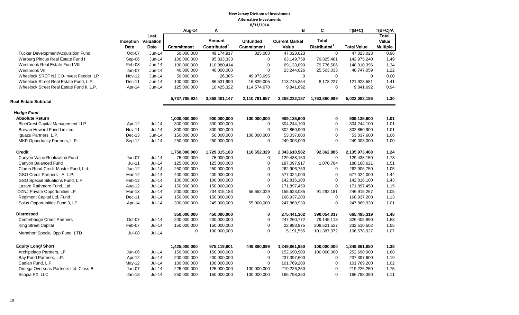|                                           |               |                             |               |                          | 0/31/2014                     |                                |                          |                    |                          |
|-------------------------------------------|---------------|-----------------------------|---------------|--------------------------|-------------------------------|--------------------------------|--------------------------|--------------------|--------------------------|
|                                           |               |                             | Aug-14        | Α                        |                               | В                              | C                        | $=(B+C)$           | $=(B+C)/A$               |
|                                           |               | Last                        |               | Amount                   |                               |                                | <b>Total</b>             |                    | Total                    |
|                                           | Date          | Inception Valuation<br>Date | Commitment    | Contributed <sup>1</sup> | <b>Unfunded</b><br>Commitment | <b>Current Market</b><br>Value | Distributed <sup>2</sup> | <b>Total Value</b> | Value<br><b>Multiple</b> |
|                                           |               |                             |               |                          |                               |                                |                          |                    |                          |
| Tucker Development/Acquisition Fund       | Oct-07        | Jun-14                      | 50,000,000    | 49,174,917               | 825,083                       | 47,023,023                     | $\mathbf 0$              | 47,023,023         | 0.96                     |
| Warburg Pincus Real Estate Fund I         | Sep-06        | Jun-14                      | 100,000,000   | 95,833,333               | 0                             | 63,149,759                     | 79,825,481               | 142,975,240        | 1.49                     |
| Westbrook Real Estate Fund VIII           | Feb-08        | Jun-14                      | 100,000,000   | 110,980,414              | $\mathbf 0$                   | 69,133,890                     | 79,776,506               | 148,910,396        | 1.34                     |
| Westbrook VII                             | Jan-07        | Jun-14                      | 40,000,000    | 40,000,000               | $\mathbf 0$                   | 23,244,026                     | 25,503,033               | 48,747,059         | 1.22                     |
| Wheelock SREF NJ CO-Invest Feeder, LP     | <b>Nov-12</b> | Jun-14                      | 50,000,000    | 26,305                   | 49,973,695                    | $\mathbf 0$                    | $\mathbf 0$              | $\mathbf 0$        | 0.00                     |
| Wheelock Street Real Estate Fund, L.P.    | Dec-11        | Jun-14                      | 100,000,000   | 86,531,990               | 16,839,005                    | 113,745,354                    | 8,178,227                | 121,923,581        | 1.41                     |
| Wheelock Street Real Estate Fund II, L.P. | Apr-14        | Jun-14                      | 125,000,000   | 10,425,322               | 114,574,678                   | 9,841,692                      | 0                        | 9,841,692          | 0.94                     |
| <b>Real Estate Subtotal</b>               |               |                             | 5,737,785,924 | 3,868,401,147            | 2,110,791,657                 | 3,258,222,187                  | 1,763,860,999            | 5,022,083,186      | 1.30                     |
| <b>Hedge Fund</b>                         |               |                             |               |                          |                               |                                |                          |                    |                          |
| <b>Absolute Return</b>                    |               |                             | 1,000,000,000 | 900,000,000              | 100,000,000                   | 909,135,600                    | $\mathbf 0$              | 909,135,600        | 1.01                     |
| <b>BlueCrest Capital Management LLP</b>   | Apr-12        | $Jul-14$                    | 300,000,000   | 300,000,000              | 0                             | 304,244,100                    | $\mathbf 0$              | 304,244,100        | 1.01                     |
| Brevan Howard Fund Limited                | <b>Nov-11</b> | $Jul-14$                    | 300,000,000   | 300,000,000              | $\pmb{0}$                     | 302,850,900                    | 0                        | 302,850,900        | 1.01                     |
| Iguazu Partners, L.P.                     | Dec-13        | Jun-14                      | 150,000,000   | 50,000,000               | 100,000,000                   | 53,037,600                     | $\Omega$                 | 53,037,600         | 1.06                     |
| MKP Opportunity Partners, L.P.            | Sep-12        | <b>Jul-14</b>               | 250,000,000   | 250,000,000              | $\mathbf 0$                   | 249,003,000                    | $\Omega$                 | 249,003,000        | 1.00                     |
| <b>Credit</b>                             |               |                             | 1,750,000,000 | 1,729,315,183            | 110,652,329                   | 2,043,610,582                  | 92,362,885               | 2,135,973,468      | 1.24                     |
| Canyon Value Realization Fund             | Jun-07        | $Jul-14$                    | 75,000,000    | 75,000,000               | $\mathbf 0$                   | 129,438,150                    | $\Omega$                 | 129,438,150        | 1.73                     |
| Canyon Balanced Fund                      | $Jul-11$      | <b>Jul-14</b>               | 125,000,000   | 125,000,000              | $\pmb{0}$                     | 187,097,917                    | 1,070,704                | 188,168,621        | 1.51                     |
| Claren Road Credit Master Fund, Ltd.      | Jun-12        | Jul-14                      | 250,000,000   | 250,000,000              | 0                             | 262,906,750                    | $\mathbf 0$              | 262,906,750        | 1.05                     |
| GSO Credit Partners - A, L.P.             | Mar-12        | $Jul-14$                    | 400,000,000   | 400,000,000              | $\pmb{0}$                     | 577,024,000                    | $\mathbf 0$              | 577,024,000        | 1.44                     |
| GSO Special Situations Fund, L.P.         | Feb-12        | <b>Jul-14</b>               | 100,000,000   | 100,000,000              | $\pmb{0}$                     | 142,816,100                    | $\mathbf 0$              | 142,816,100        | 1.43                     |
| Lazard Rathmore Fund, Ltd.                | Aug-12        | <b>Jul-14</b>               | 150,000,000   | 150,000,000              | 0                             | 171,897,450                    | $\Omega$                 | 171,897,450        | 1.15                     |
| OZNJ Private Opportunities LP             | Mar-13        | <b>Jul-14</b>               | 200,000,000   | 234,315,183              | 55,652,329                    | 155,623,085                    | 91,292,181               | 246,915,267        | 1.05                     |
| Regiment Capital Ltd. Fund                | Dec-11        | <b>Jul-14</b>               | 150,000,000   | 150,000,000              | $\mathbf 0$                   | 168,937,200                    | $\mathbf 0$              | 168,937,200        | 1.13                     |
|                                           |               | $Jul-14$                    |               |                          | 55,000,000                    |                                | $\Omega$                 |                    | 1.01                     |
| Solus Opportunities Fund 3, LP            | Apr-14        |                             | 300,000,000   | 245,000,000              |                               | 247,869,930                    |                          | 247,869,930        |                          |
| <b>Distressed</b>                         |               |                             | 350,000,000   | 450,000,000              | 0                             | 275,441,302                    | 390,054,017              | 665,495,319        | 1.48                     |
| <b>Centerbridge Credit Partners</b>       | Oct-07        | <b>Jul-14</b>               | 200,000,000   | 200,000,000              | $\pmb{0}$                     | 247,260,772                    | 79,145,118               | 326,405,890        | 1.63                     |
| <b>King Street Capital</b>                | Feb-07        | $Jul-14$                    | 150,000,000   | 150,000,000              | 0                             | 22,988,975                     | 209,521,527              | 232,510,502        | 1.55                     |
| Marathon Special Opp Fund, LTD            | Jul-08        | $Jul-14$                    | 0             | 100,000,000              | 0                             | 5,191,555                      | 101,387,372              | 106,578,927        | 1.07                     |
|                                           |               |                             |               |                          |                               |                                |                          |                    |                          |
| <b>Equity Long/ Short</b>                 |               |                             | 1,425,000,000 | 975,119,901              | 449,880,099                   | 1,249,861,850                  | 100,000,000              | 1,349,861,850      | 1.38                     |
| Archipelago Partners, LP                  | Jun-06        | Jul-14                      | 150,000,000   | 150,000,000              | $\mathbf 0$                   | 152,690,900                    | 100,000,000              | 252,690,900        | 1.68                     |
| Bay Pond Partners, L.P.                   | Apr-12        | <b>Jul-14</b>               | 200,000,000   | 200,000,000              | $\pmb{0}$                     | 237,397,600                    | $\mathbf 0$              | 237,397,600        | 1.19                     |
| Cadian Fund, L.P.                         | May-12        | $Jul-14$                    | 100,000,000   | 100,000,000              | 0                             | 101,769,200                    | $\mathbf{0}$             | 101,769,200        | 1.02                     |
| Omega Overseas Partners Ltd. Class-B      | Jan-07        | <b>Jul-14</b>               | 225,000,000   | 125,000,000              | 100,000,000                   | 219,226,250                    | 0                        | 219,226,250        | 1.75                     |
| Scopia PX, LLC                            | $Jan-13$      | Jul-14                      | 250,000,000   | 150,000,000              | 100,000,000                   | 166,798,350                    | $\mathbf 0$              | 166,798,350        | 1.11                     |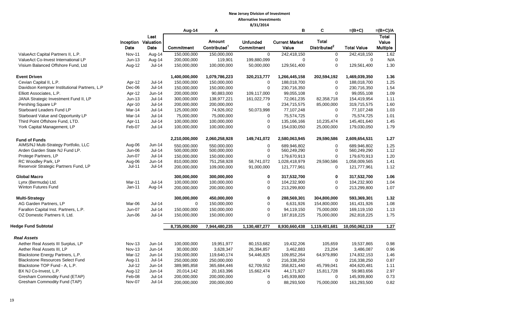|                                                                             |                  |                                     | Aug-14        | Α                                         |                               | B                              | C                                        | $=(B+C)$           | $=(B+C)/A$                        |
|-----------------------------------------------------------------------------|------------------|-------------------------------------|---------------|-------------------------------------------|-------------------------------|--------------------------------|------------------------------------------|--------------------|-----------------------------------|
|                                                                             | Date             | Last<br>Inception Valuation<br>Date | Commitment    | <b>Amount</b><br>Contributed <sup>1</sup> | <b>Unfunded</b><br>Commitment | <b>Current Market</b><br>Value | <b>Total</b><br>Distributed <sup>2</sup> | <b>Total Value</b> | Total<br>Value<br><b>Multiple</b> |
| ValueAct Capital Partners II, L.P.                                          | <b>Nov-11</b>    | Aug-14                              | 150,000,000   | 150,000,000                               | $\mathbf 0$                   | 242,418,150                    | $\mathbf 0$                              | 242,418,150        | 1.62                              |
| ValueAct Co-Invest International LP                                         | $Jun-13$         | Aug-14                              | 200,000,000   | 119,901                                   | 199,880,099                   | $\Omega$                       | $\mathbf 0$                              | $\Omega$           | N/A                               |
| Visium Balanced Offshore Fund, Ltd                                          | Aug-12           | $Jul-14$                            | 150,000,000   | 100,000,000                               | 50,000,000                    | 129,561,400                    | $\mathbf 0$                              | 129,561,400        | 1.30                              |
| <b>Event Driven</b>                                                         |                  |                                     | 1,400,000,000 | 1,079,786,223                             | 320,213,777                   | 1,266,445,158                  | 202,594,192                              | 1,469,039,350      | 1.36                              |
| Cevian Capital II, L.P.                                                     | Apr-12           | Jul-14                              | 150,000,000   | 150,000,000                               | $\mathbf 0$                   | 188,018,700                    | $\mathbf 0$                              | 188,018,700        | 1.25                              |
| Davidson Kempner Institutional Partners, L.P                                | Dec-06           | Jul-14                              | 150,000,000   | 150,000,000                               | $\mathbf 0$                   | 230,716,350                    | $\mathbf 0$                              | 230,716,350        | 1.54                              |
| Elliott Associates, L.P.                                                    | Apr-12           | Jun-14                              | 200,000,000   | 90,883,000                                | 109,117,000                   | 99,055,108                     | $\Omega$                                 | 99,055,108         | 1.09                              |
| JANA Strategic Investment Fund II, LP                                       | $Jun-13$         | $Jul-14$                            | 300,000,000   | 138,977,221                               | 161,022,779                   | 72,061,235                     | 82,358,718                               | 154,419,954        | 1.11                              |
| Pershing Square LP                                                          | Apr-10           | <b>Jul-14</b>                       | 200,000,000   | 200,000,000                               | 0                             | 234,715,575                    | 85,000,000                               | 319,715,575        | 1.60                              |
| Starboard Leaders Fund LP                                                   | Mar-14           | Jul-14                              | 125,000,000   | 74,926,002                                | 50,073,998                    | 77,107,248                     | $\mathbf 0$                              | 77,107,248         | 1.03                              |
| Starboard Value and Opportunity LP                                          | Mar-14           | <b>Jul-14</b>                       | 75,000,000    | 75,000,000                                | $\mathbf 0$                   | 75,574,725                     | $\mathbf 0$                              | 75,574,725         | 1.01                              |
| Third Point Offshore Fund, LTD.                                             | Apr-11           | Jul-14                              | 100,000,000   | 100,000,000                               | 0                             | 135,166,166                    | 10,235,474                               | 145,401,640        | 1.45                              |
| York Capital Management, LP                                                 | Feb-07           | $Jul-14$                            | 100,000,000   | 100,000,000                               | 0                             | 154,030,050                    | 25,000,000                               | 179,030,050        | 1.79                              |
| <b>Fund of Funds</b>                                                        |                  |                                     | 2,210,000,000 | 2,060,258,928                             | 149,741,072                   | 2,580,063,945                  | 29,590,586                               | 2,609,654,531      | 1.27                              |
| AIMS/NJ Multi-Strategy Portfolio, LLC                                       | Aug-06           | Jun-14                              | 550.000.000   | 550,000,000                               | $\Omega$                      | 689.946.802                    | $\mathbf 0$                              | 689.946.802        | 1.25                              |
| Arden Garden State NJ Fund LP.                                              | Jun-06           | $Jul-14$                            | 500,000,000   | 500,000,000                               | $\mathbf 0$                   | 560,249,290                    | $\mathbf 0$                              | 560,249,290        | 1.12                              |
| Protege Partners, LP                                                        | <b>Jun-07</b>    | $Jul-14$                            | 150,000,000   | 150,000,000                               | $\Omega$                      | 179,670,913                    | $\Omega$                                 | 179,670,913        | 1.20                              |
| RC Woodley Park, LP                                                         | Aug-06           | $Jun-14$                            | 810,000,000   | 751,258,928                               | 58,741,072                    | 1,028,418,979                  | 29,590,586                               | 1,058,009,565      | 1.41                              |
| Reservoir Strategic Partners Fund, LP                                       | <b>Jul-11</b>    | <b>Jul-14</b>                       | 200,000,000   | 109,000,000                               | 91,000,000                    | 121,777,961                    | $\mathbf 0$                              | 121,777,961        | 1.12                              |
| <b>Global Macro</b>                                                         |                  |                                     | 300,000,000   | 300,000,000                               | $\mathbf 0$                   | 317,532,700                    | $\mathbf 0$                              | 317,532,700        | 1.06                              |
| Lynx (Bermuda) Ltd.                                                         | Mar-11           | <b>Jul-14</b>                       | 100,000,000   | 100,000,000                               | 0                             | 104,232,900                    | $\mathbf 0$                              | 104,232,900        | 1.04                              |
| <b>Winton Futures Fund</b>                                                  | $Jan-11$         | Aug-14                              | 200,000,000   | 200,000,000                               | 0                             | 213,299,800                    | $\Omega$                                 | 213,299,800        | 1.07                              |
| <b>Multi-Strategy</b>                                                       |                  |                                     | 300,000,000   | 450,000,000                               | $\mathbf{0}$                  | 288,569,301                    | 304,800,000                              | 593,369,301        | 1.32                              |
| AG Garden Partners, LP                                                      | Mar-06           | $Jul-14$                            | $\Omega$      | 150,000,000                               | 0                             | 6,631,926                      | 154,800,000                              | 161,431,926        | 1.08                              |
| Farallon Capital Inst. Partners, L.P.                                       | <b>Jun-07</b>    | <b>Jul-14</b>                       | 150,000,000   | 150,000,000                               | 0                             | 94,119,150                     | 75,000,000                               | 169,119,150        | 1.13                              |
| OZ Domestic Partners II, Ltd.                                               | Jun-06           | $Jul-14$                            | 150,000,000   | 150,000,000                               | 0                             | 187,818,225                    | 75,000,000                               | 262,818,225        | 1.75                              |
| <b>Hedge Fund Subtotal</b>                                                  |                  |                                     | 8,735,000,000 | 7,944,480,235                             | 1,130,487,277                 | 8,930,660,438                  | 1,119,401,681                            | 10,050,062,119     | $\frac{1.27}{5.27}$               |
| <b>Real Assets</b>                                                          |                  |                                     |               |                                           |                               |                                |                                          |                    |                                   |
| Aether Real Assets III Surplus, LP                                          | <b>Nov-13</b>    | $Jun-14$                            | 100,000,000   | 19,951,977                                | 80,153,682                    | 19,432,206                     | 105,659                                  | 19,537,865         | 0.98                              |
|                                                                             |                  |                                     |               |                                           |                               |                                |                                          |                    |                                   |
| Aether Real Assets III, LP                                                  | Nov-13           | <b>Jun-14</b>                       | 30,000,000    | 3,628,347                                 | 26,394,857                    | 3,462,883                      | 23,204                                   | 3,486,087          | 0.96                              |
| Blackstone Energy Partners, L.P.<br><b>Blackstone Resources Select Fund</b> | Mar-12           | Jun-14<br><b>Jul-14</b>             | 150,000,000   | 119,640,174                               | 54,446,825                    | 109,852,264                    | 64,979,890                               | 174,832,153        | 1.46                              |
| Blackstone TOP Fund - A, L.P.                                               | Aug-11           | Jun-14                              | 250,000,000   | 250,000,000                               | 0                             | 216,338,250                    | $\mathbf 0$                              | 216,338,250        | 0.87<br>1.11                      |
| BX NJ Co-Invest, L.P.                                                       | Jul-12           |                                     | 389,985,858   | 365,684,446                               | 62,709,552                    | 358,821,440                    | 45,799,041                               | 404,620,481        | 2.97                              |
|                                                                             | Aug-12           | Jun-14                              | 20,014,142    | 20,163,396                                | 15,662,474<br>$\mathbf 0$     | 44,171,927                     | 15,811,728                               | 59,983,656         |                                   |
| Gresham Commodity Fund (ETAP)<br>Gresham Commodity Fund (TAP)               | Feb-08<br>Nov-07 | Jul-14<br>$Jul-14$                  | 200,000,000   | 200,000,000                               |                               | 145,939,800                    | $\mathbf 0$                              | 145,939,800        | 0.73                              |
|                                                                             |                  |                                     | 200,000,000   | 200,000,000                               | 0                             | 88,293,500                     | 75,000,000                               | 163,293,500        | 0.82                              |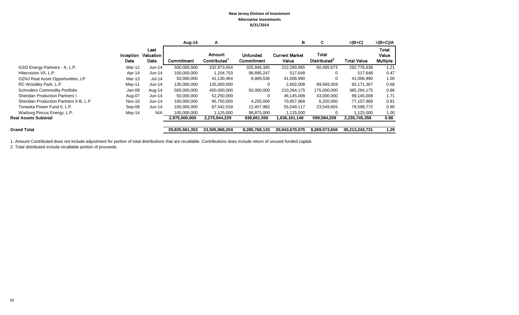|                                        |                   |                                  | Aug-14            | A                     |                                      | в                              | C                                 | $=(B+C)$           | $=(B+C)/A$                        |
|----------------------------------------|-------------------|----------------------------------|-------------------|-----------------------|--------------------------------------|--------------------------------|-----------------------------------|--------------------|-----------------------------------|
|                                        | Inception<br>Date | Last<br><b>Valuation</b><br>Date | <b>Commitment</b> | Amount<br>Contributed | <b>Unfunded</b><br><b>Commitment</b> | <b>Current Market</b><br>Value | Total<br>Distributed <sup>2</sup> | <b>Total Value</b> | <b>Total</b><br>Value<br>Multiple |
| GSO Energy Partners - A, L.P.          | Mar-12            | Jun-14                           | 500,000,000       | 232,973,654           | 325,946,395                          | 222,280,965                    | 60,495,673                        | 282,776,638        | 1.21                              |
| Hitecvision VII, L.P.                  | Apr-14            | Jun-14                           | 100,000,000       | 1,104,753             | 98,895,247                           | 517,648                        | 0                                 | 517,648            | 0.47                              |
| OZNJ Real Asset Opportunities, LP      | Mar-13            | $Jul-14$                         | 50,000,000        | 41,130,464            | 8,869,536                            | 41,006,990                     | 0                                 | 41,006,990         | 1.00                              |
| RC Woodley Park, L.P.                  | May-11            | Jun-14                           | 135,000,000       | 135,000,000           | 0                                    | 2,602,008                      | 89,569,359                        | 92,171,367         | 0.68                              |
| <b>Schroders Commodity Portfolio</b>   | Jan-08            | Aug-14                           | 500,000,000       | 450,000,000           | 50,000,000                           | 210,264,175                    | 175,000,000                       | 385,264,175        | 0.86                              |
| <b>Sheridan Production Partners I</b>  | Aug-07            | Jun-14                           | 50,000,000        | 52,250,000            | 0                                    | 46,145,008                     | 43,000,000                        | 89,145,008         | 1.71                              |
| Sheridan Production Partners II-B, L.P | Nov-10            | $Jun-14$                         | 100,000,000       | 95,750,000            | 4,250,000                            | 70,857,968                     | 6,250,000                         | 77,107,968         | 0.81                              |
| Tenaska Power Fund II, L.P.            | Sep-08            | Jun-14                           | 100,000,000       | 87,542,018            | 12,457,982                           | 55,049,117                     | 23,549,655                        | 78,598,772         | 0.90                              |
| Warburg Pincus Energy, L.P.            | May-14            | N/A                              | 100,000,000       | 1,125,000             | 98,875,000                           | 1,125,000                      | 0                                 | 1,125,000          | 1.00                              |
| <b>Real Assets Subtotal</b>            |                   |                                  | 2,975,000,000     | 2,275,944,229         | 838,661,550                          | 1,636,161,148                  | 599,584,209                       | 2,235,745,358      | 0.98                              |
| <b>Grand Total</b>                     |                   |                                  | 29,835,561,353    | 23,505,968,204        | 8,285,768,133                        | 20,943,670,075                 | 9,269,573,656                     | 30,213,243,731     | 1.29                              |

1. Amount Contributed does not include adjustment for portion of total distributions that are recallable. Contributions does include return of unused funded capital.

2. Total distributed include recallable portion of proceeds.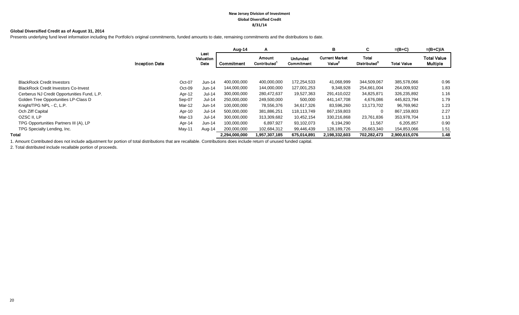#### **New Jersey Division of Investment Global Diversified Credit 8/31/14**

#### **Global Diversified Credit as of August 31, 2014**

Presents underlying fund level information including the Portfolio's original commitments, funded amounts to date, remaining commitments and the distributions to date.

|                                             |                       |        |                           | Aug-14        | A                     |                               | в                                           | C.                                       | $=(B+C)$           | $=(B+C)/A$                            |
|---------------------------------------------|-----------------------|--------|---------------------------|---------------|-----------------------|-------------------------------|---------------------------------------------|------------------------------------------|--------------------|---------------------------------------|
|                                             | <b>Inception Date</b> |        | Last<br>Valuation<br>Date | Commitment    | Amount<br>Contributed | <b>Unfunded</b><br>Commitment | <b>Current Market</b><br>Value <sup>2</sup> | <b>Total</b><br>Distributed <sup>3</sup> | <b>Total Value</b> | <b>Total Value</b><br><b>Multiple</b> |
|                                             |                       |        |                           |               |                       |                               |                                             |                                          |                    |                                       |
| <b>BlackRock Credit Investors</b>           |                       | Oct-07 | $Jun-14$                  | 400,000,000   | 400,000,000           | 172,254,533                   | 41,068,999                                  | 344,509,067                              | 385,578,066        | 0.96                                  |
| <b>BlackRock Credit Investors Co-Invest</b> |                       | Oct-09 | Jun-14                    | 144.000.000   | 144,000,000           | 127,001,253                   | 9,348,928                                   | 254,661,004                              | 264,009,932        | 1.83                                  |
| Cerberus NJ Credit Opportunities Fund, L.P. |                       | Apr-12 | $Jul-14$                  | 300,000,000   | 280,472,637           | 19,527,363                    | 291,410,022                                 | 34,825,871                               | 326,235,892        | 1.16                                  |
| Golden Tree Opportunities LP-Class D        |                       | Sep-07 | <b>Jul-14</b>             | 250,000,000   | 249,500,000           | 500,000                       | 441,147,708                                 | 4,676,086                                | 445,823,794        | 1.79                                  |
| Knight/TPG NPL - C, L.P.                    |                       | Mar-12 | Jun-14                    | 100,000,000   | 78,556,376            | 34,617,326                    | 83,596,260                                  | 13,173,702                               | 96,769,962         | 1.23                                  |
| Och Ziff Capital                            |                       | Apr-10 | Jul-14                    | 500,000,000   | 381,886,251           | 118,113,749                   | 867,159,803                                 | $\Omega$                                 | 867,159,803        | 2.27                                  |
| OZSC II, LP                                 |                       | Mar-13 | Jul-14                    | 300,000,000   | 313,309,682           | 10,452,154                    | 330,216,868                                 | 23,761,836                               | 353,978,704        | 1.13                                  |
| TPG Opportunities Partners III (A), LP      |                       | Apr-14 | $Jun-14$                  | 100,000,000   | 6,897,927             | 93,102,073                    | 6,194,290                                   | 11,567                                   | 6,205,857          | 0.90                                  |
| TPG Specialty Lending, Inc.                 |                       | May-11 | Aug-14                    | 200,000,000   | 102,684,312           | 99,446,439                    | 128,189,726                                 | 26,663,340                               | 154,853,066        | 1.51                                  |
| Total                                       |                       |        |                           | 2,294,000,000 | 1,957,307,185         | 675,014,891                   | 2,198,332,603                               | 702,282,473                              | 2,900,615,076      | 1.48                                  |

1. Amount Contributed does not include adjustment for portion of total distributions that are recallable. Contributions does include return of unused funded capital.

2. Total distributed include recallable portion of proceeds.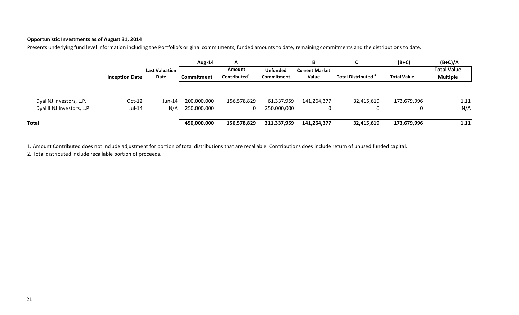## **Opportunistic Investments as of August 31, 2014**

Presents underlying fund level information including the Portfolio's original commitments, funded amounts to date, remaining commitments and the distributions to date.

|                            |                       |                | Aug-14      | А                        |                   | В                     | $\sim$                         | $=(B+C)$           | $=(B+C)/A$         |
|----------------------------|-----------------------|----------------|-------------|--------------------------|-------------------|-----------------------|--------------------------------|--------------------|--------------------|
|                            |                       | Last Valuation |             | Amount                   | <b>Unfunded</b>   | <b>Current Market</b> |                                |                    | <b>Total Value</b> |
|                            | <b>Inception Date</b> | Date           | Commitment  | Contributed <sup>+</sup> | <b>Commitment</b> | Value                 | Total Distributed <sup>3</sup> | <b>Total Value</b> | <b>Multiple</b>    |
|                            |                       |                |             |                          |                   |                       |                                |                    |                    |
| Dyal NJ Investors, L.P.    | $Oct-12$              | Jun-14         | 200,000,000 | 156,578,829              | 61,337,959        | 141,264,377           | 32,415,619                     | 173,679,996        | 1.11               |
| Dyal II NJ Investors, L.P. | Jul-14                | N/A            | 250,000,000 | 0                        | 250,000,000       | 0                     |                                | 0                  | N/A                |
| <b>Total</b>               |                       |                | 450,000,000 | 156,578,829              | 311,337,959       | 141,264,377           | 32,415,619                     | 173,679,996        | 1.11               |

1. Amount Contributed does not include adjustment for portion of total distributions that are recallable. Contributions does include return of unused funded capital.

2. Total distributed include recallable portion of proceeds.